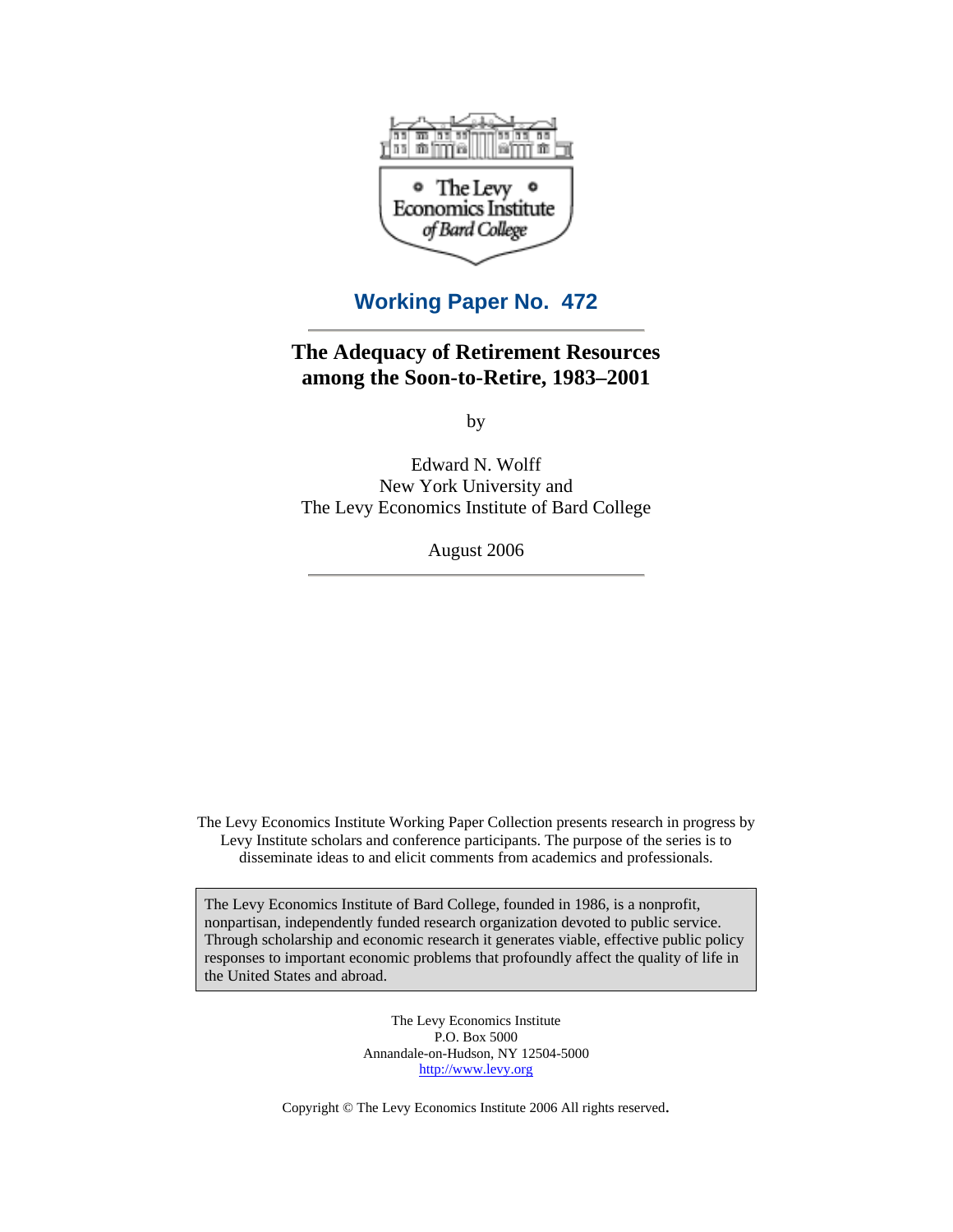

## **Working Paper No. 472**

## **The Adequacy of Retirement Resources among the Soon-to-Retire, 1983–2001**

by

Edward N. Wolff New York University and The Levy Economics Institute of Bard College

August 2006

The Levy Economics Institute Working Paper Collection presents research in progress by Levy Institute scholars and conference participants. The purpose of the series is to disseminate ideas to and elicit comments from academics and professionals.

The Levy Economics Institute of Bard College, founded in 1986, is a nonprofit, nonpartisan, independently funded research organization devoted to public service. Through scholarship and economic research it generates viable, effective public policy responses to important economic problems that profoundly affect the quality of life in the United States and abroad.

> The Levy Economics Institute P.O. Box 5000 Annandale-on-Hudson, NY 12504-5000 [http://www.levy.org](http://www.levy.org )

Copyright © The Levy Economics Institute 2006 All rights reserved.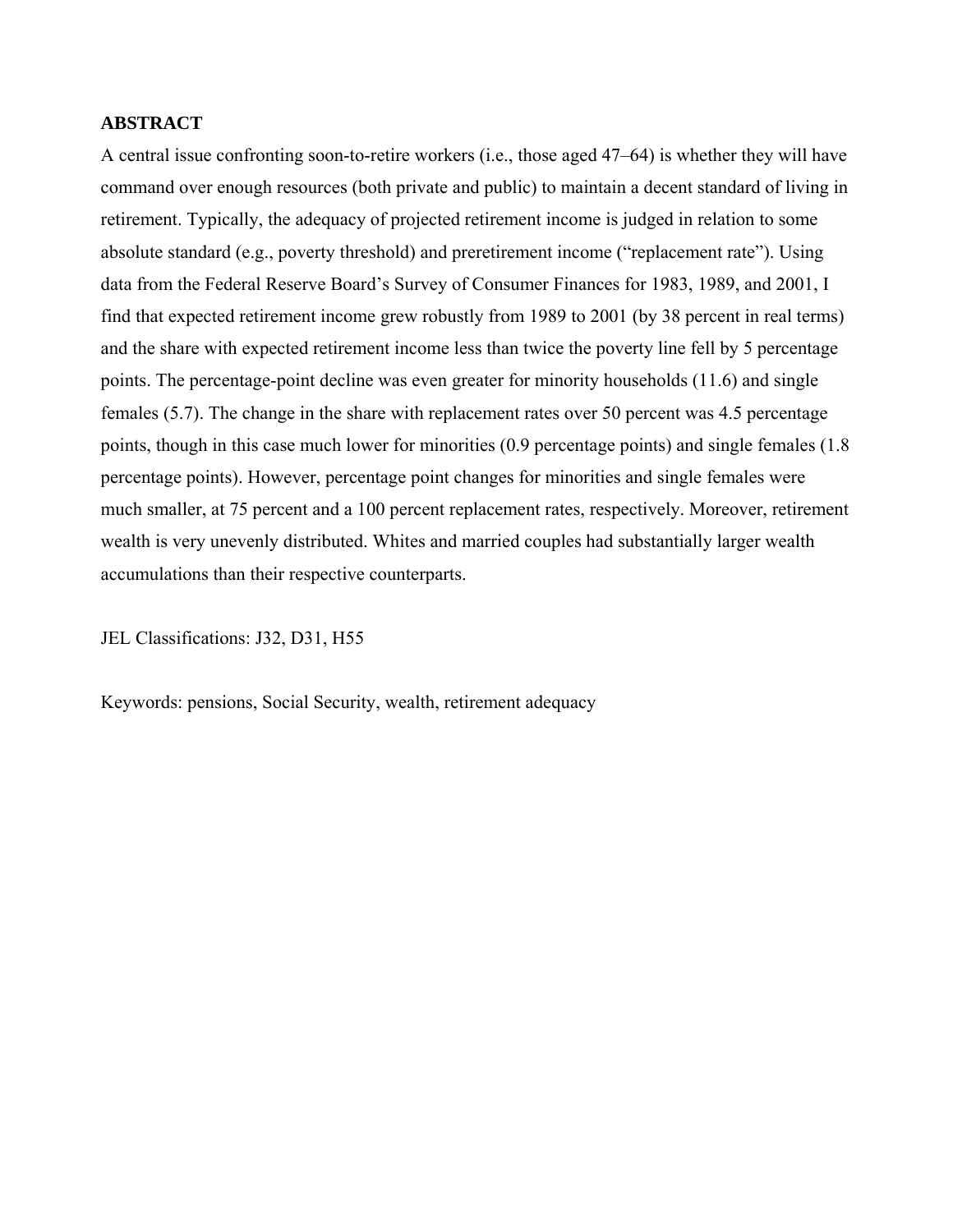#### **ABSTRACT**

A central issue confronting soon-to-retire workers (i.e., those aged 47–64) is whether they will have command over enough resources (both private and public) to maintain a decent standard of living in retirement. Typically, the adequacy of projected retirement income is judged in relation to some absolute standard (e.g., poverty threshold) and preretirement income ("replacement rate"). Using data from the Federal Reserve Board's Survey of Consumer Finances for 1983, 1989, and 2001, I find that expected retirement income grew robustly from 1989 to 2001 (by 38 percent in real terms) and the share with expected retirement income less than twice the poverty line fell by 5 percentage points. The percentage-point decline was even greater for minority households (11.6) and single females (5.7). The change in the share with replacement rates over 50 percent was 4.5 percentage points, though in this case much lower for minorities (0.9 percentage points) and single females (1.8 percentage points). However, percentage point changes for minorities and single females were much smaller, at 75 percent and a 100 percent replacement rates, respectively. Moreover, retirement wealth is very unevenly distributed. Whites and married couples had substantially larger wealth accumulations than their respective counterparts.

JEL Classifications: J32, D31, H55

Keywords: pensions, Social Security, wealth, retirement adequacy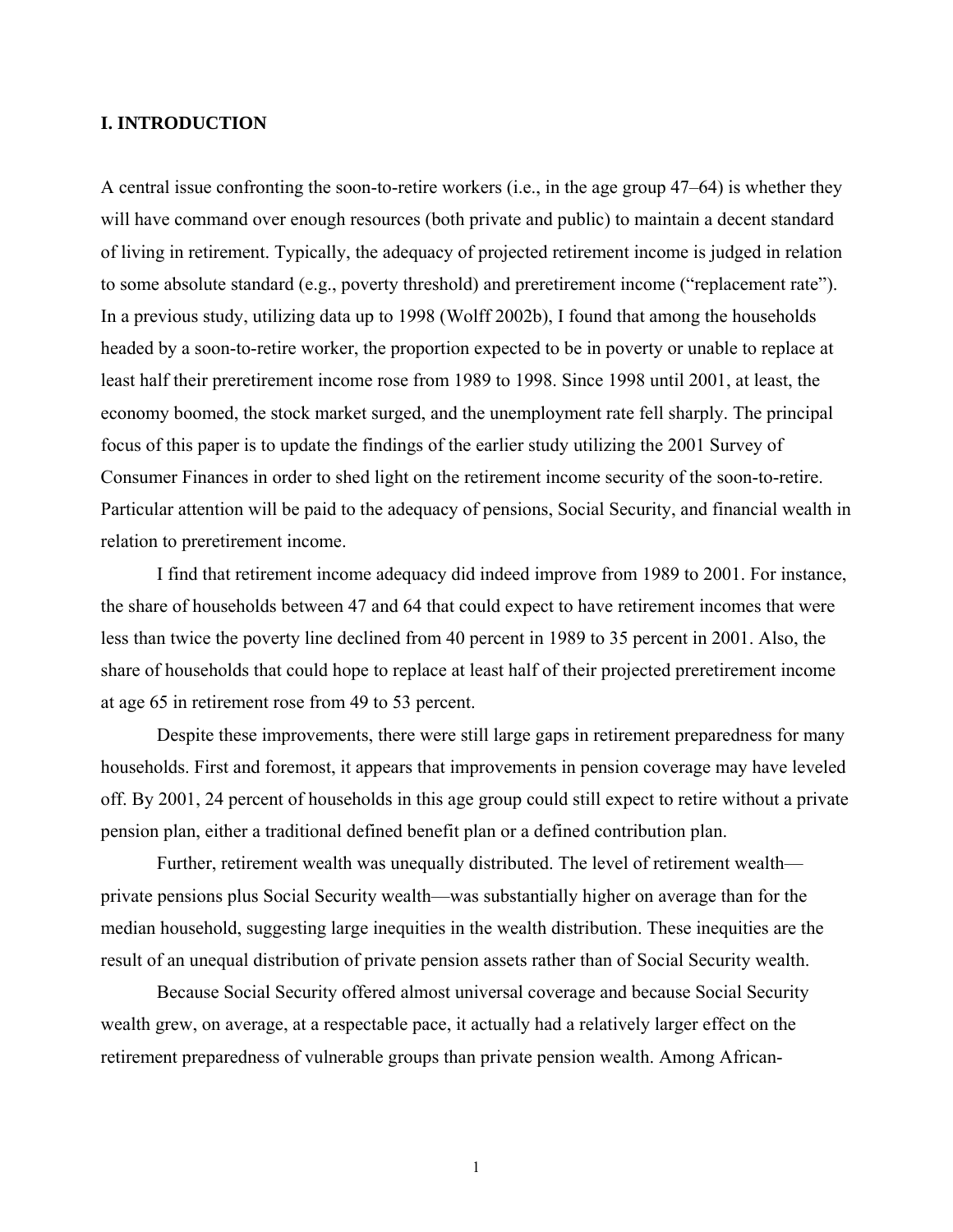#### **I. INTRODUCTION**

A central issue confronting the soon-to-retire workers (i.e., in the age group 47–64) is whether they will have command over enough resources (both private and public) to maintain a decent standard of living in retirement. Typically, the adequacy of projected retirement income is judged in relation to some absolute standard (e.g., poverty threshold) and preretirement income ("replacement rate"). In a previous study, utilizing data up to 1998 (Wolff 2002b), I found that among the households headed by a soon-to-retire worker, the proportion expected to be in poverty or unable to replace at least half their preretirement income rose from 1989 to 1998. Since 1998 until 2001, at least, the economy boomed, the stock market surged, and the unemployment rate fell sharply. The principal focus of this paper is to update the findings of the earlier study utilizing the 2001 Survey of Consumer Finances in order to shed light on the retirement income security of the soon-to-retire. Particular attention will be paid to the adequacy of pensions, Social Security, and financial wealth in relation to preretirement income.

I find that retirement income adequacy did indeed improve from 1989 to 2001. For instance, the share of households between 47 and 64 that could expect to have retirement incomes that were less than twice the poverty line declined from 40 percent in 1989 to 35 percent in 2001. Also, the share of households that could hope to replace at least half of their projected preretirement income at age 65 in retirement rose from 49 to 53 percent.

Despite these improvements, there were still large gaps in retirement preparedness for many households. First and foremost, it appears that improvements in pension coverage may have leveled off. By 2001, 24 percent of households in this age group could still expect to retire without a private pension plan, either a traditional defined benefit plan or a defined contribution plan.

Further, retirement wealth was unequally distributed. The level of retirement wealth private pensions plus Social Security wealth—was substantially higher on average than for the median household, suggesting large inequities in the wealth distribution. These inequities are the result of an unequal distribution of private pension assets rather than of Social Security wealth.

Because Social Security offered almost universal coverage and because Social Security wealth grew, on average, at a respectable pace, it actually had a relatively larger effect on the retirement preparedness of vulnerable groups than private pension wealth. Among African-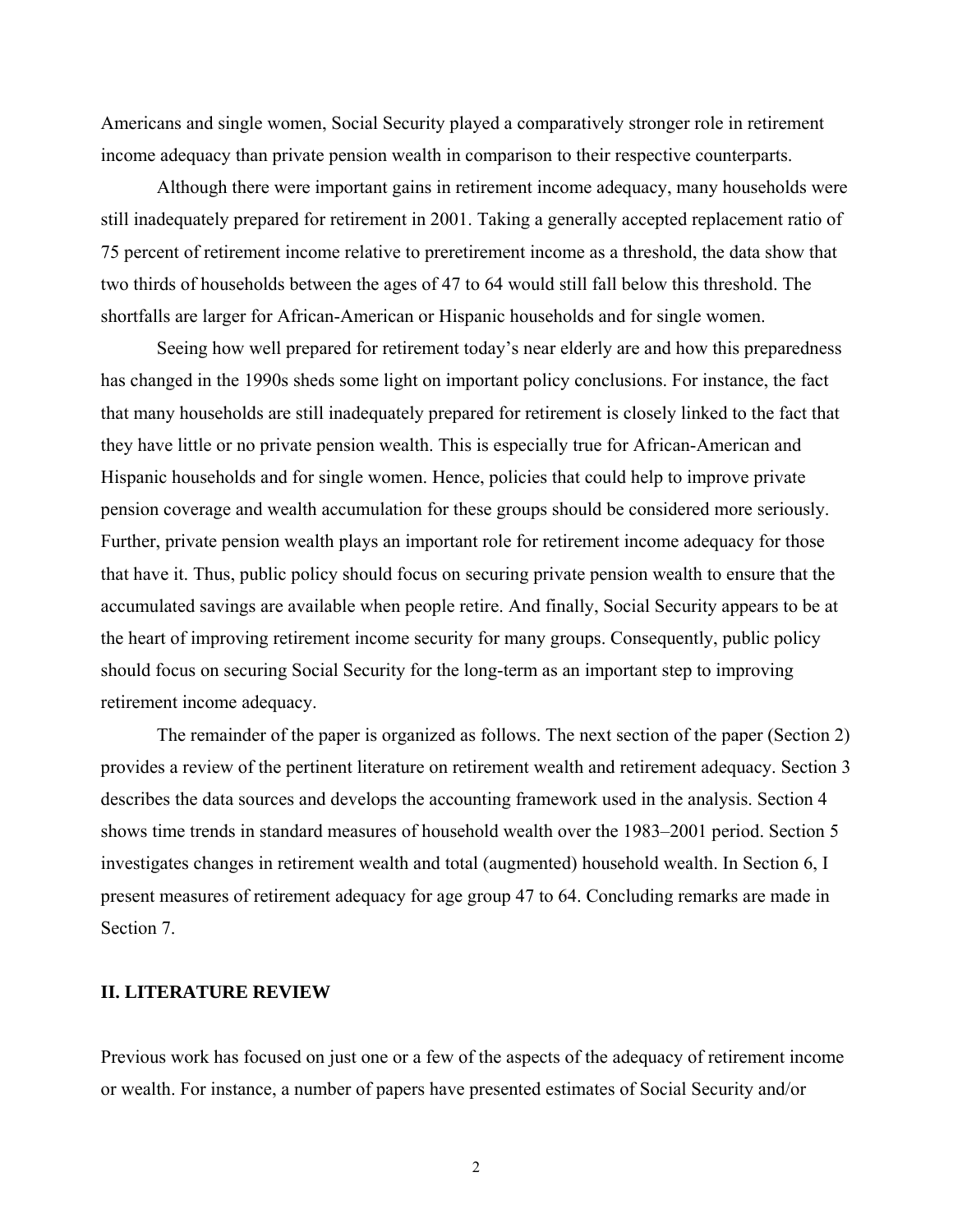Americans and single women, Social Security played a comparatively stronger role in retirement income adequacy than private pension wealth in comparison to their respective counterparts.

Although there were important gains in retirement income adequacy, many households were still inadequately prepared for retirement in 2001. Taking a generally accepted replacement ratio of 75 percent of retirement income relative to preretirement income as a threshold, the data show that two thirds of households between the ages of 47 to 64 would still fall below this threshold. The shortfalls are larger for African-American or Hispanic households and for single women.

Seeing how well prepared for retirement today's near elderly are and how this preparedness has changed in the 1990s sheds some light on important policy conclusions. For instance, the fact that many households are still inadequately prepared for retirement is closely linked to the fact that they have little or no private pension wealth. This is especially true for African-American and Hispanic households and for single women. Hence, policies that could help to improve private pension coverage and wealth accumulation for these groups should be considered more seriously. Further, private pension wealth plays an important role for retirement income adequacy for those that have it. Thus, public policy should focus on securing private pension wealth to ensure that the accumulated savings are available when people retire. And finally, Social Security appears to be at the heart of improving retirement income security for many groups. Consequently, public policy should focus on securing Social Security for the long-term as an important step to improving retirement income adequacy.

The remainder of the paper is organized as follows. The next section of the paper (Section 2) provides a review of the pertinent literature on retirement wealth and retirement adequacy. Section 3 describes the data sources and develops the accounting framework used in the analysis. Section 4 shows time trends in standard measures of household wealth over the 1983–2001 period. Section 5 investigates changes in retirement wealth and total (augmented) household wealth. In Section 6, I present measures of retirement adequacy for age group 47 to 64. Concluding remarks are made in Section 7.

#### **II. LITERATURE REVIEW**

Previous work has focused on just one or a few of the aspects of the adequacy of retirement income or wealth. For instance, a number of papers have presented estimates of Social Security and/or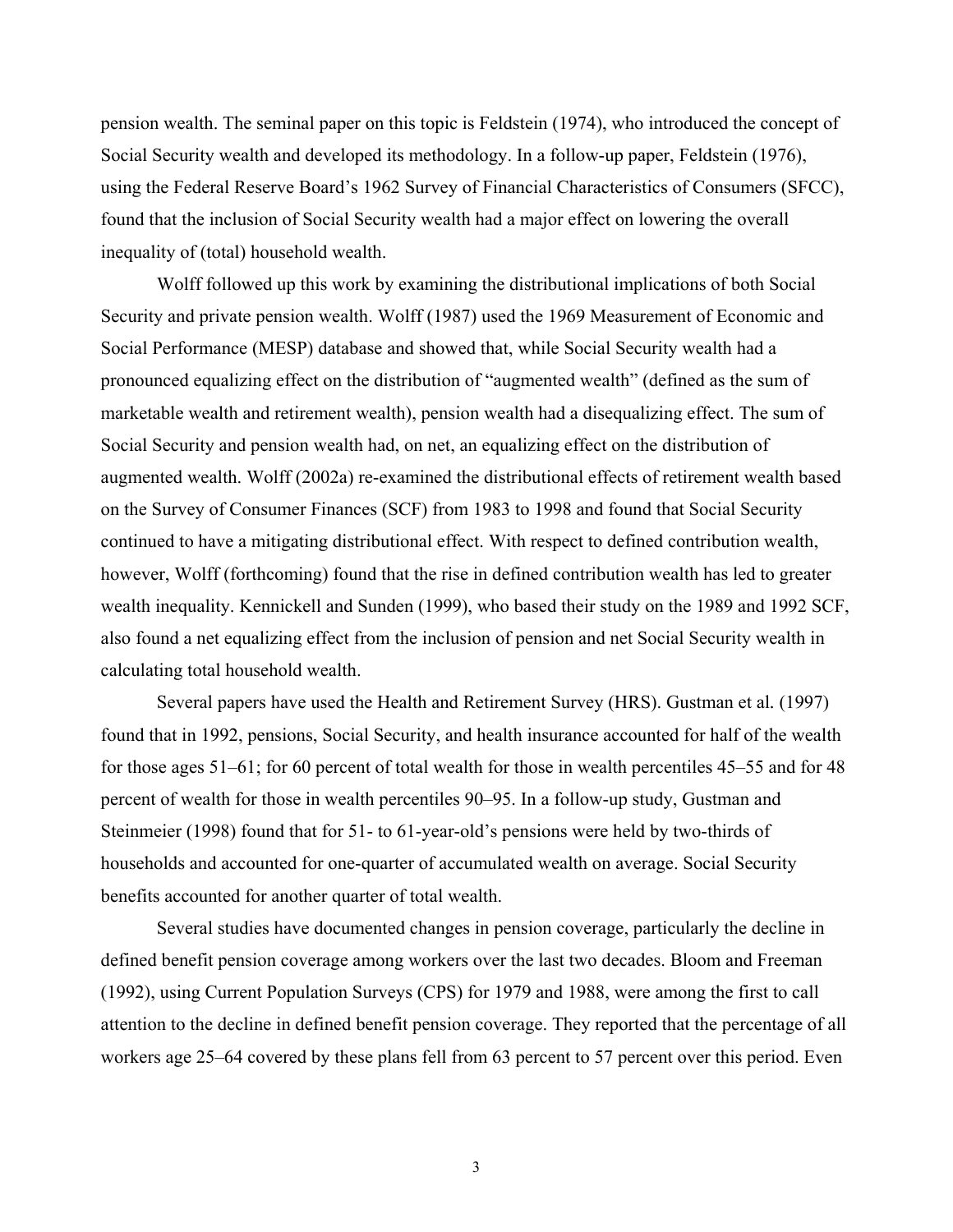pension wealth. The seminal paper on this topic is Feldstein (1974), who introduced the concept of Social Security wealth and developed its methodology. In a follow-up paper, Feldstein (1976), using the Federal Reserve Board's 1962 Survey of Financial Characteristics of Consumers (SFCC), found that the inclusion of Social Security wealth had a major effect on lowering the overall inequality of (total) household wealth.

Wolff followed up this work by examining the distributional implications of both Social Security and private pension wealth. Wolff (1987) used the 1969 Measurement of Economic and Social Performance (MESP) database and showed that, while Social Security wealth had a pronounced equalizing effect on the distribution of "augmented wealth" (defined as the sum of marketable wealth and retirement wealth), pension wealth had a disequalizing effect. The sum of Social Security and pension wealth had, on net, an equalizing effect on the distribution of augmented wealth. Wolff (2002a) re-examined the distributional effects of retirement wealth based on the Survey of Consumer Finances (SCF) from 1983 to 1998 and found that Social Security continued to have a mitigating distributional effect. With respect to defined contribution wealth, however, Wolff (forthcoming) found that the rise in defined contribution wealth has led to greater wealth inequality. Kennickell and Sunden (1999), who based their study on the 1989 and 1992 SCF, also found a net equalizing effect from the inclusion of pension and net Social Security wealth in calculating total household wealth.

Several papers have used the Health and Retirement Survey (HRS). Gustman et al*.* (1997) found that in 1992, pensions, Social Security, and health insurance accounted for half of the wealth for those ages 51–61; for 60 percent of total wealth for those in wealth percentiles 45–55 and for 48 percent of wealth for those in wealth percentiles 90–95. In a follow-up study, Gustman and Steinmeier (1998) found that for 51- to 61-year-old's pensions were held by two-thirds of households and accounted for one-quarter of accumulated wealth on average. Social Security benefits accounted for another quarter of total wealth.

Several studies have documented changes in pension coverage, particularly the decline in defined benefit pension coverage among workers over the last two decades. Bloom and Freeman (1992), using Current Population Surveys (CPS) for 1979 and 1988, were among the first to call attention to the decline in defined benefit pension coverage. They reported that the percentage of all workers age 25–64 covered by these plans fell from 63 percent to 57 percent over this period. Even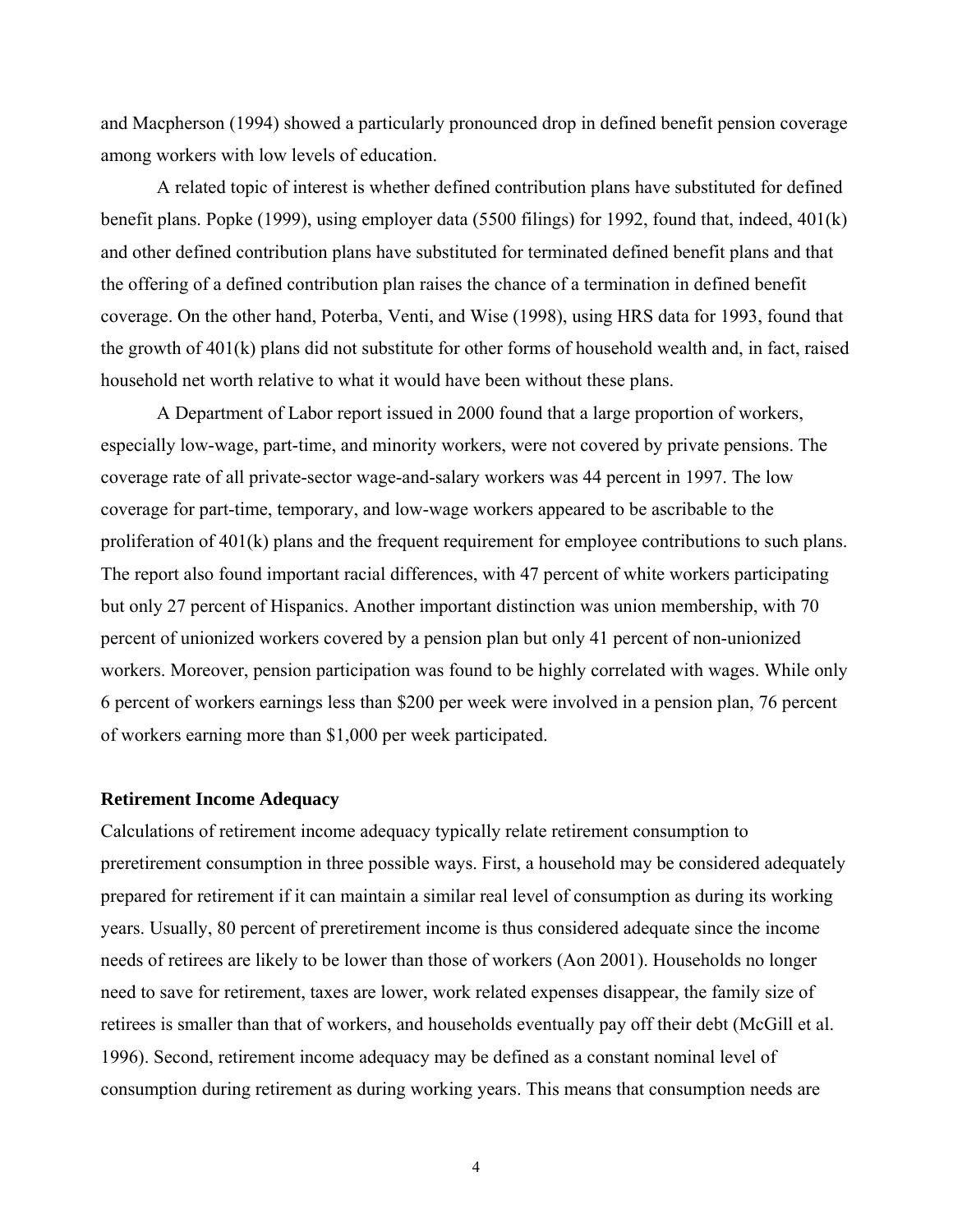and Macpherson (1994) showed a particularly pronounced drop in defined benefit pension coverage among workers with low levels of education.

A related topic of interest is whether defined contribution plans have substituted for defined benefit plans. Popke (1999), using employer data (5500 filings) for 1992, found that, indeed, 401(k) and other defined contribution plans have substituted for terminated defined benefit plans and that the offering of a defined contribution plan raises the chance of a termination in defined benefit coverage. On the other hand, Poterba, Venti, and Wise (1998), using HRS data for 1993, found that the growth of 401(k) plans did not substitute for other forms of household wealth and, in fact, raised household net worth relative to what it would have been without these plans.

A Department of Labor report issued in 2000 found that a large proportion of workers, especially low-wage, part-time, and minority workers, were not covered by private pensions. The coverage rate of all private-sector wage-and-salary workers was 44 percent in 1997. The low coverage for part-time, temporary, and low-wage workers appeared to be ascribable to the proliferation of 401(k) plans and the frequent requirement for employee contributions to such plans. The report also found important racial differences, with 47 percent of white workers participating but only 27 percent of Hispanics. Another important distinction was union membership, with 70 percent of unionized workers covered by a pension plan but only 41 percent of non-unionized workers. Moreover, pension participation was found to be highly correlated with wages. While only 6 percent of workers earnings less than \$200 per week were involved in a pension plan, 76 percent of workers earning more than \$1,000 per week participated.

#### **Retirement Income Adequacy**

Calculations of retirement income adequacy typically relate retirement consumption to preretirement consumption in three possible ways. First, a household may be considered adequately prepared for retirement if it can maintain a similar real level of consumption as during its working years. Usually, 80 percent of preretirement income is thus considered adequate since the income needs of retirees are likely to be lower than those of workers (Aon 2001). Households no longer need to save for retirement, taxes are lower, work related expenses disappear, the family size of retirees is smaller than that of workers, and households eventually pay off their debt (McGill et al. 1996). Second, retirement income adequacy may be defined as a constant nominal level of consumption during retirement as during working years. This means that consumption needs are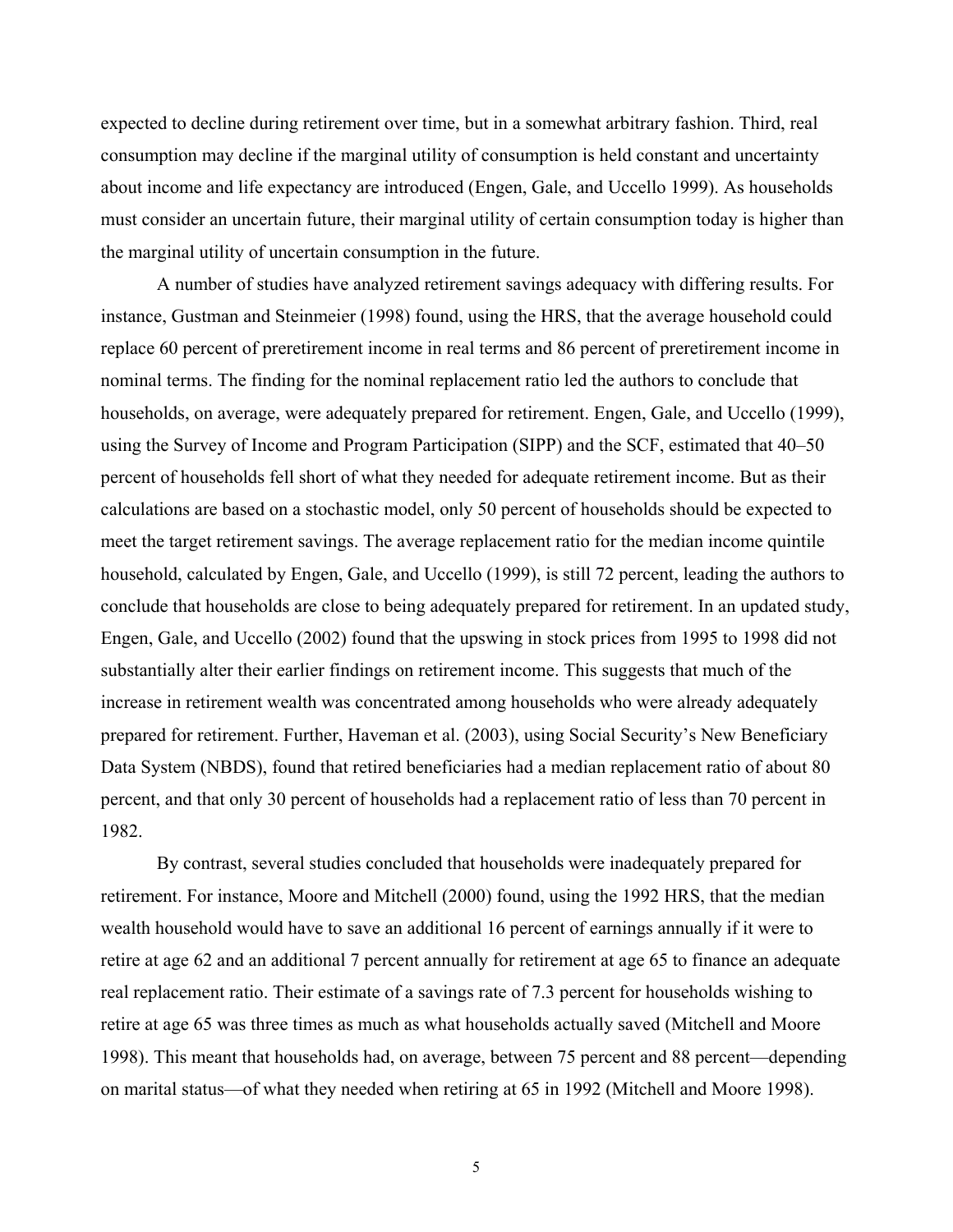expected to decline during retirement over time, but in a somewhat arbitrary fashion. Third, real consumption may decline if the marginal utility of consumption is held constant and uncertainty about income and life expectancy are introduced (Engen, Gale, and Uccello 1999). As households must consider an uncertain future, their marginal utility of certain consumption today is higher than the marginal utility of uncertain consumption in the future.

A number of studies have analyzed retirement savings adequacy with differing results. For instance, Gustman and Steinmeier (1998) found, using the HRS, that the average household could replace 60 percent of preretirement income in real terms and 86 percent of preretirement income in nominal terms. The finding for the nominal replacement ratio led the authors to conclude that households, on average, were adequately prepared for retirement. Engen, Gale, and Uccello (1999), using the Survey of Income and Program Participation (SIPP) and the SCF, estimated that 40–50 percent of households fell short of what they needed for adequate retirement income. But as their calculations are based on a stochastic model, only 50 percent of households should be expected to meet the target retirement savings. The average replacement ratio for the median income quintile household, calculated by Engen, Gale, and Uccello (1999), is still 72 percent, leading the authors to conclude that households are close to being adequately prepared for retirement. In an updated study, Engen, Gale, and Uccello (2002) found that the upswing in stock prices from 1995 to 1998 did not substantially alter their earlier findings on retirement income. This suggests that much of the increase in retirement wealth was concentrated among households who were already adequately prepared for retirement. Further, Haveman et al. (2003), using Social Security's New Beneficiary Data System (NBDS), found that retired beneficiaries had a median replacement ratio of about 80 percent, and that only 30 percent of households had a replacement ratio of less than 70 percent in 1982.

By contrast, several studies concluded that households were inadequately prepared for retirement. For instance, Moore and Mitchell (2000) found, using the 1992 HRS, that the median wealth household would have to save an additional 16 percent of earnings annually if it were to retire at age 62 and an additional 7 percent annually for retirement at age 65 to finance an adequate real replacement ratio. Their estimate of a savings rate of 7.3 percent for households wishing to retire at age 65 was three times as much as what households actually saved (Mitchell and Moore 1998). This meant that households had, on average, between 75 percent and 88 percent—depending on marital status—of what they needed when retiring at 65 in 1992 (Mitchell and Moore 1998).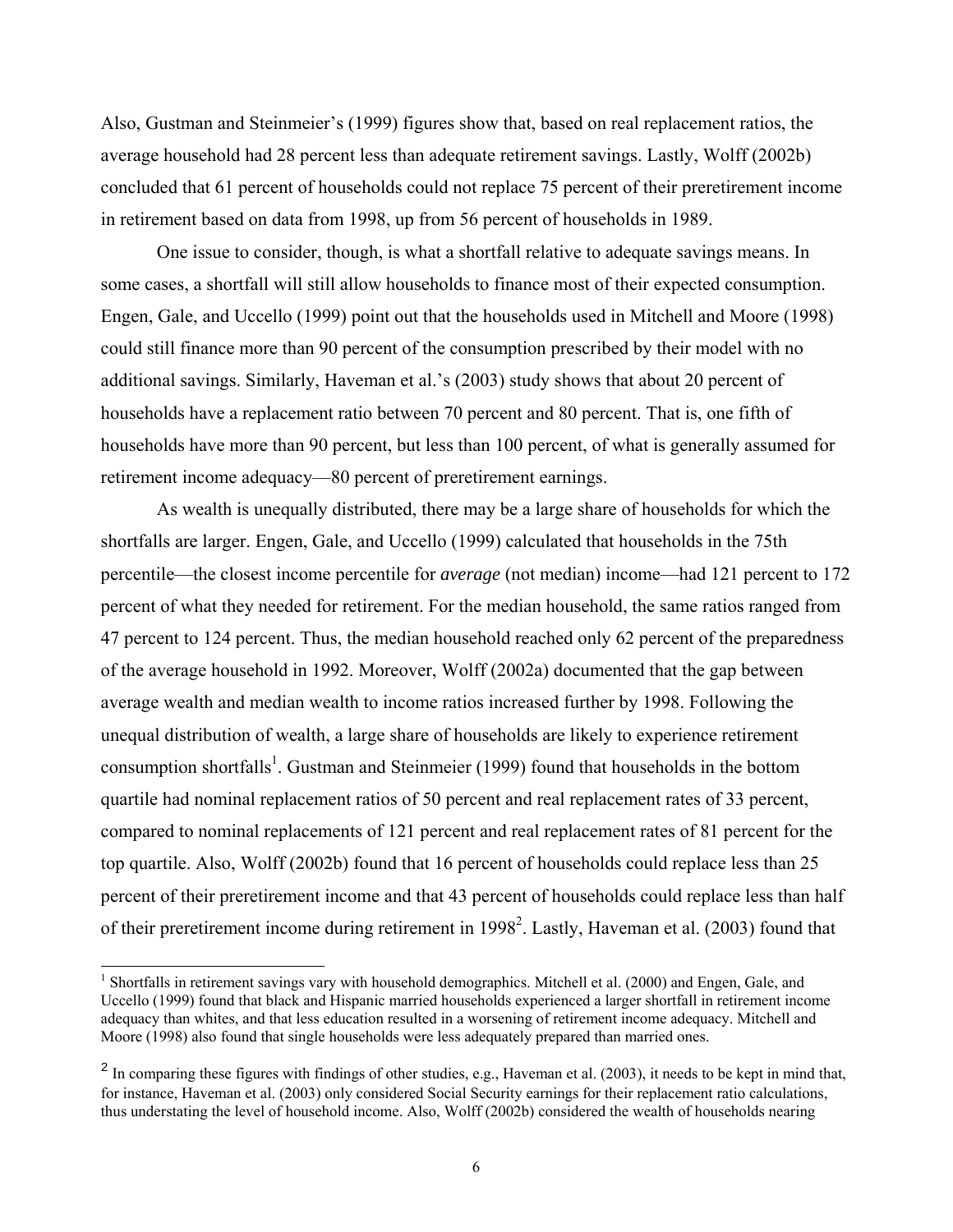Also, Gustman and Steinmeier's (1999) figures show that, based on real replacement ratios, the average household had 28 percent less than adequate retirement savings. Lastly, Wolff (2002b) concluded that 61 percent of households could not replace 75 percent of their preretirement income in retirement based on data from 1998, up from 56 percent of households in 1989.

One issue to consider, though, is what a shortfall relative to adequate savings means. In some cases, a shortfall will still allow households to finance most of their expected consumption. Engen, Gale, and Uccello (1999) point out that the households used in Mitchell and Moore (1998) could still finance more than 90 percent of the consumption prescribed by their model with no additional savings. Similarly, Haveman et al.'s (2003) study shows that about 20 percent of households have a replacement ratio between 70 percent and 80 percent. That is, one fifth of households have more than 90 percent, but less than 100 percent, of what is generally assumed for retirement income adequacy—80 percent of preretirement earnings.

As wealth is unequally distributed, there may be a large share of households for which the shortfalls are larger. Engen, Gale, and Uccello (1999) calculated that households in the 75th percentile—the closest income percentile for *average* (not median) income—had 121 percent to 172 percent of what they needed for retirement. For the median household, the same ratios ranged from 47 percent to 124 percent. Thus, the median household reached only 62 percent of the preparedness of the average household in 1992. Moreover, Wolff (2002a) documented that the gap between average wealth and median wealth to income ratios increased further by 1998. Following the unequal distribution of wealth, a large share of households are likely to experience retirement consumption shortfalls<sup>1</sup>. Gustman and Steinmeier (1999) found that households in the bottom quartile had nominal replacement ratios of 50 percent and real replacement rates of 33 percent, compared to nominal replacements of 121 percent and real replacement rates of 81 percent for the top quartile. Also, Wolff (2002b) found that 16 percent of households could replace less than 25 percent of their preretirement income and that 43 percent of households could replace less than half of their preretirement income during retirement in 1998<sup>2</sup>. Lastly, Haveman et al. (2003) found that

l

<sup>&</sup>lt;sup>1</sup> Shortfalls in retirement savings vary with household demographics. Mitchell et al. (2000) and Engen, Gale, and Uccello (1999) found that black and Hispanic married households experienced a larger shortfall in retirement income adequacy than whites, and that less education resulted in a worsening of retirement income adequacy. Mitchell and Moore (1998) also found that single households were less adequately prepared than married ones.

 $2 \text{ In comparing these figures with findings of other studies, e.g., Haveman et al. (2003), it needs to be kept in mind that, }$ for instance, Haveman et al. (2003) only considered Social Security earnings for their replacement ratio calculations, thus understating the level of household income. Also, Wolff (2002b) considered the wealth of households nearing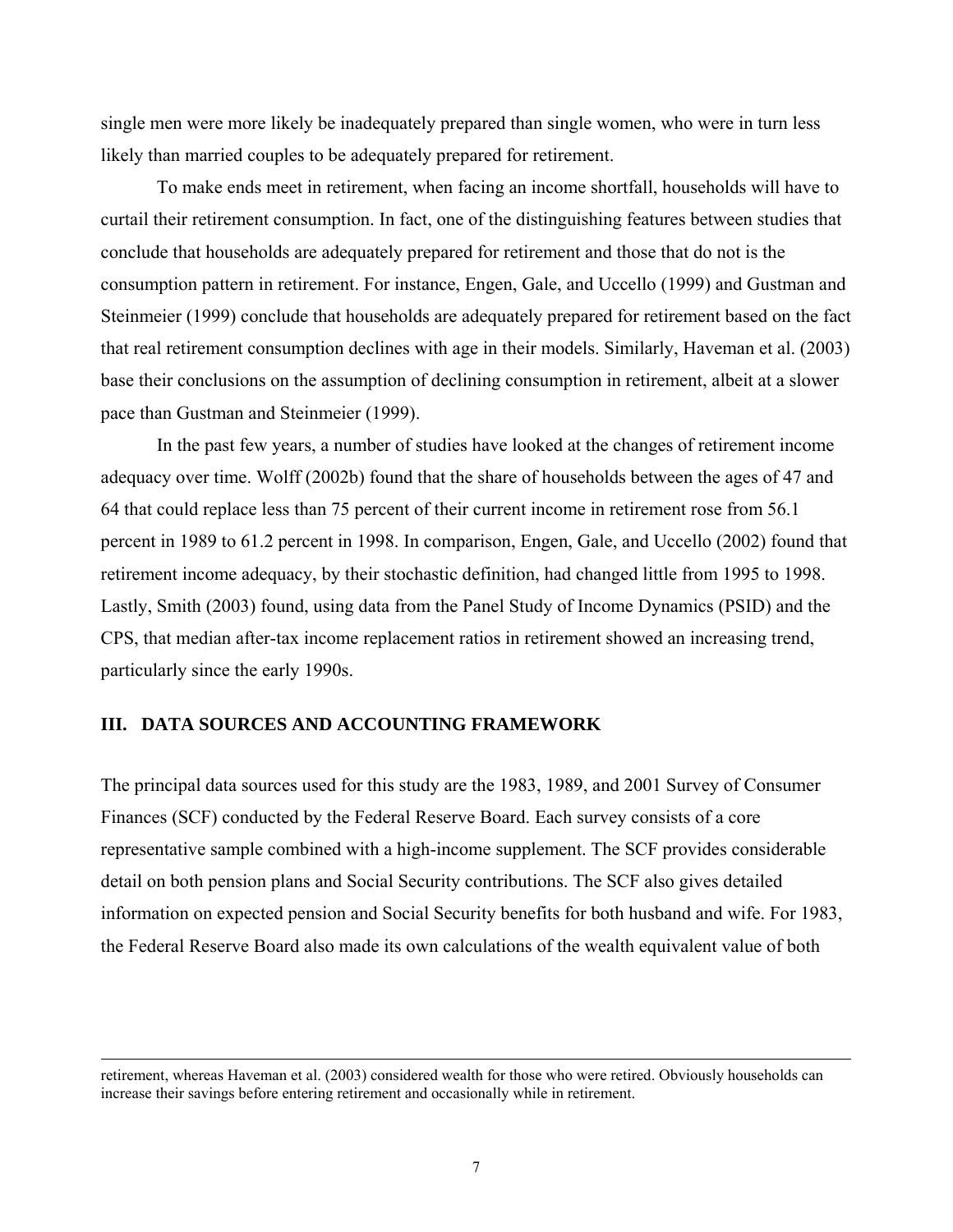single men were more likely be inadequately prepared than single women, who were in turn less likely than married couples to be adequately prepared for retirement.

To make ends meet in retirement, when facing an income shortfall, households will have to curtail their retirement consumption. In fact, one of the distinguishing features between studies that conclude that households are adequately prepared for retirement and those that do not is the consumption pattern in retirement. For instance, Engen, Gale, and Uccello (1999) and Gustman and Steinmeier (1999) conclude that households are adequately prepared for retirement based on the fact that real retirement consumption declines with age in their models. Similarly, Haveman et al. (2003) base their conclusions on the assumption of declining consumption in retirement, albeit at a slower pace than Gustman and Steinmeier (1999).

In the past few years, a number of studies have looked at the changes of retirement income adequacy over time. Wolff (2002b) found that the share of households between the ages of 47 and 64 that could replace less than 75 percent of their current income in retirement rose from 56.1 percent in 1989 to 61.2 percent in 1998. In comparison, Engen, Gale, and Uccello (2002) found that retirement income adequacy, by their stochastic definition, had changed little from 1995 to 1998. Lastly, Smith (2003) found, using data from the Panel Study of Income Dynamics (PSID) and the CPS, that median after-tax income replacement ratios in retirement showed an increasing trend, particularly since the early 1990s.

#### **III. DATA SOURCES AND ACCOUNTING FRAMEWORK**

 $\overline{a}$ 

The principal data sources used for this study are the 1983, 1989, and 2001 Survey of Consumer Finances (SCF) conducted by the Federal Reserve Board. Each survey consists of a core representative sample combined with a high-income supplement. The SCF provides considerable detail on both pension plans and Social Security contributions. The SCF also gives detailed information on expected pension and Social Security benefits for both husband and wife. For 1983, the Federal Reserve Board also made its own calculations of the wealth equivalent value of both

retirement, whereas Haveman et al. (2003) considered wealth for those who were retired. Obviously households can increase their savings before entering retirement and occasionally while in retirement.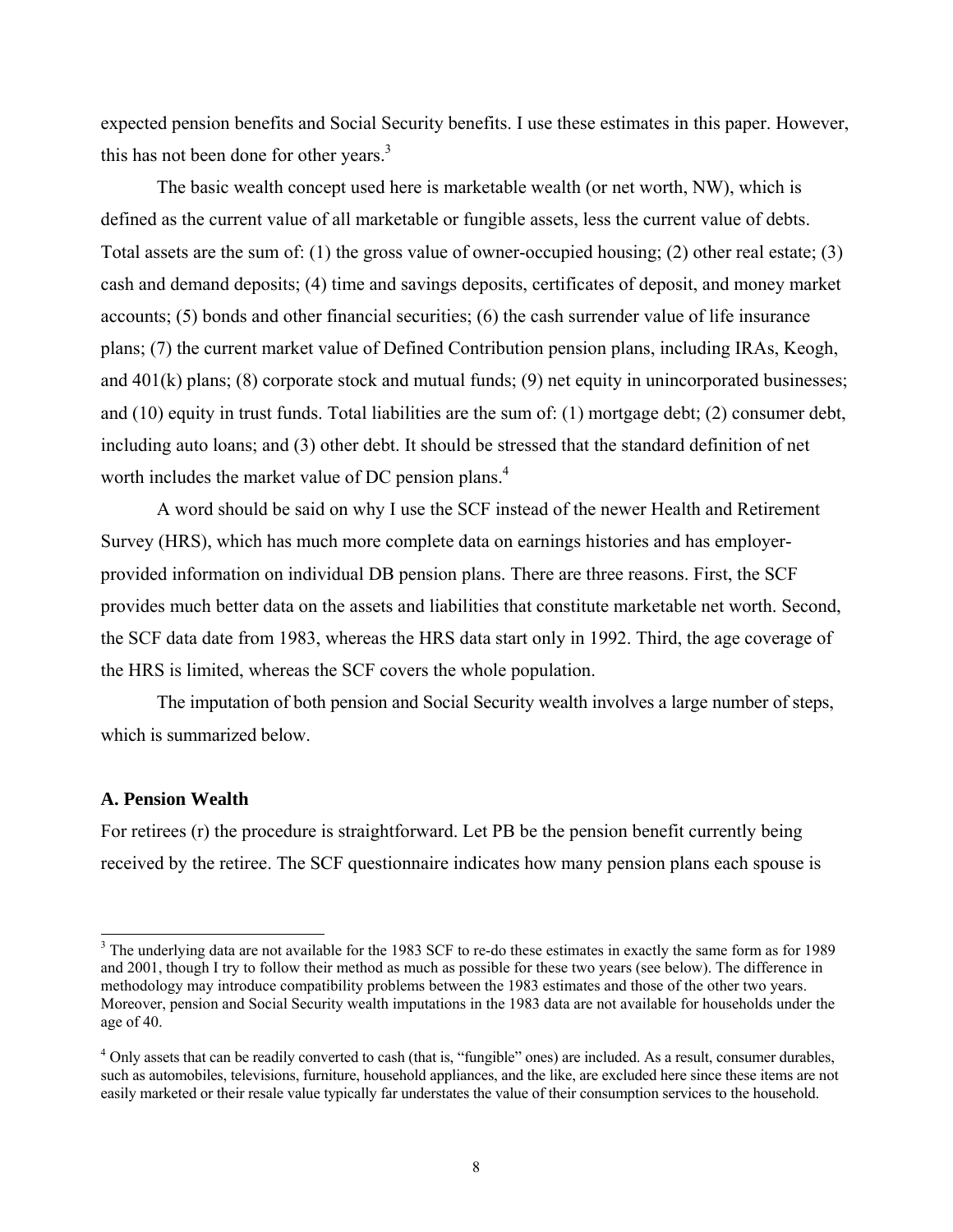expected pension benefits and Social Security benefits. I use these estimates in this paper. However, this has not been done for other years. $3$ 

The basic wealth concept used here is marketable wealth (or net worth, NW), which is defined as the current value of all marketable or fungible assets, less the current value of debts. Total assets are the sum of: (1) the gross value of owner-occupied housing; (2) other real estate; (3) cash and demand deposits; (4) time and savings deposits, certificates of deposit, and money market accounts; (5) bonds and other financial securities; (6) the cash surrender value of life insurance plans; (7) the current market value of Defined Contribution pension plans, including IRAs, Keogh, and 401(k) plans; (8) corporate stock and mutual funds; (9) net equity in unincorporated businesses; and (10) equity in trust funds. Total liabilities are the sum of: (1) mortgage debt; (2) consumer debt, including auto loans; and (3) other debt. It should be stressed that the standard definition of net worth includes the market value of DC pension plans.<sup>4</sup>

A word should be said on why I use the SCF instead of the newer Health and Retirement Survey (HRS), which has much more complete data on earnings histories and has employerprovided information on individual DB pension plans. There are three reasons. First, the SCF provides much better data on the assets and liabilities that constitute marketable net worth. Second, the SCF data date from 1983, whereas the HRS data start only in 1992. Third, the age coverage of the HRS is limited, whereas the SCF covers the whole population.

 The imputation of both pension and Social Security wealth involves a large number of steps, which is summarized below.

#### **A. Pension Wealth**

l

For retirees (r) the procedure is straightforward. Let PB be the pension benefit currently being received by the retiree. The SCF questionnaire indicates how many pension plans each spouse is

<sup>&</sup>lt;sup>3</sup> The underlying data are not available for the 1983 SCF to re-do these estimates in exactly the same form as for 1989 and 2001, though I try to follow their method as much as possible for these two years (see below). The difference in methodology may introduce compatibility problems between the 1983 estimates and those of the other two years. Moreover, pension and Social Security wealth imputations in the 1983 data are not available for households under the age of 40.

 $4$  Only assets that can be readily converted to cash (that is, "fungible" ones) are included. As a result, consumer durables, such as automobiles, televisions, furniture, household appliances, and the like, are excluded here since these items are not easily marketed or their resale value typically far understates the value of their consumption services to the household.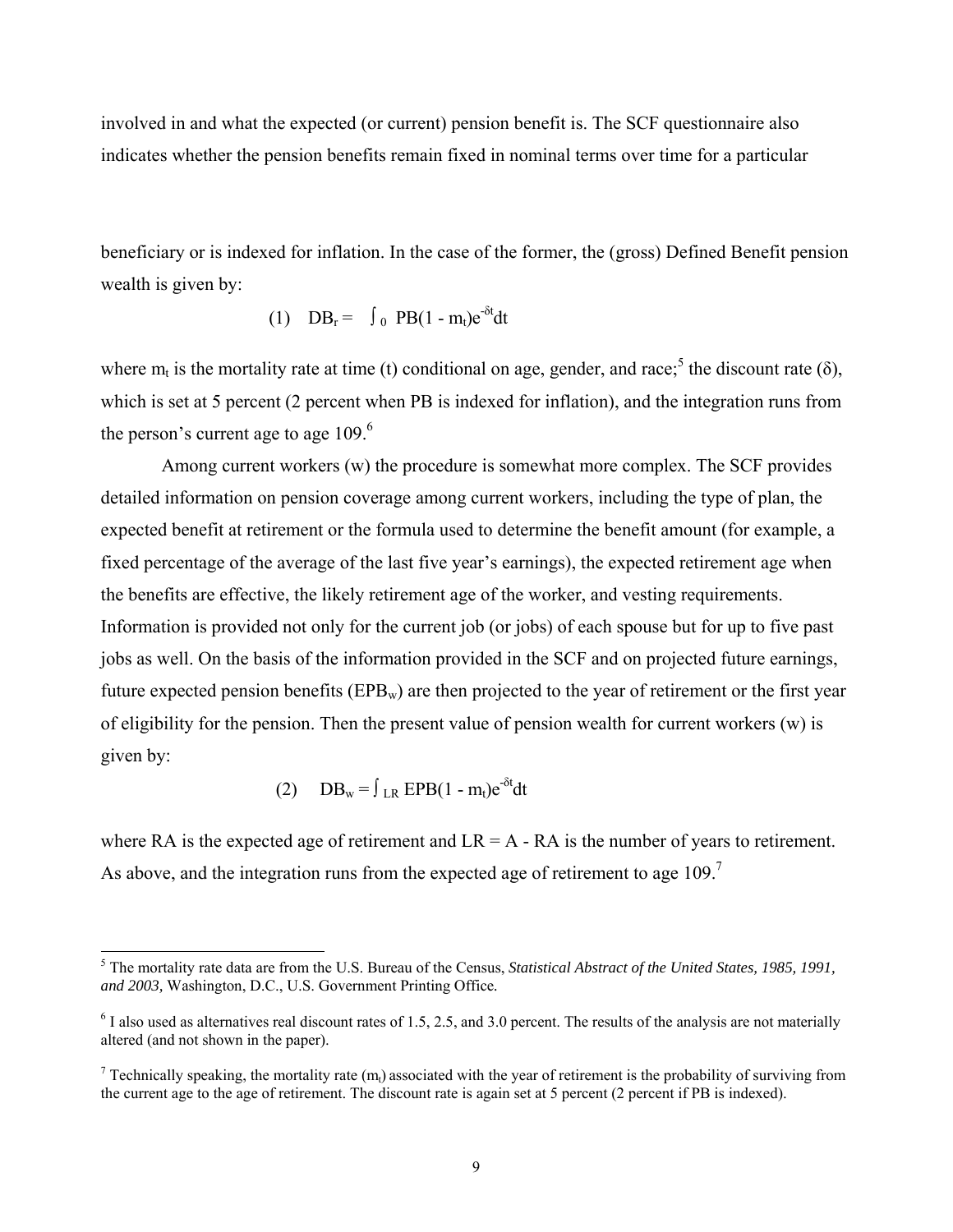involved in and what the expected (or current) pension benefit is. The SCF questionnaire also indicates whether the pension benefits remain fixed in nominal terms over time for a particular

beneficiary or is indexed for inflation. In the case of the former, the (gross) Defined Benefit pension wealth is given by:

(1)  $DB_r = \int_0^{\infty} P B(1 - m_t) e^{-\delta t} dt$ 

where  $m_t$  is the mortality rate at time (t) conditional on age, gender, and race;<sup>5</sup> the discount rate ( $\delta$ ), which is set at 5 percent (2 percent when PB is indexed for inflation), and the integration runs from the person's current age to age  $109<sup>6</sup>$ 

 Among current workers (w) the procedure is somewhat more complex. The SCF provides detailed information on pension coverage among current workers, including the type of plan, the expected benefit at retirement or the formula used to determine the benefit amount (for example, a fixed percentage of the average of the last five year's earnings), the expected retirement age when the benefits are effective, the likely retirement age of the worker, and vesting requirements. Information is provided not only for the current job (or jobs) of each spouse but for up to five past jobs as well. On the basis of the information provided in the SCF and on projected future earnings, future expected pension benefits ( $EPB_w$ ) are then projected to the year of retirement or the first year of eligibility for the pension. Then the present value of pension wealth for current workers (w) is given by:

(2) 
$$
DB_w = \int_{LR} EPB(1 - m_t)e^{-\delta t}dt
$$

where RA is the expected age of retirement and  $LR = A - RA$  is the number of years to retirement. As above, and the integration runs from the expected age of retirement to age  $109$ .<sup>7</sup>

 5 The mortality rate data are from the U.S. Bureau of the Census, *Statistical Abstract of the United States, 1985, 1991, and 2003,* Washington, D.C., U.S. Government Printing Office*.* 

 $6$  I also used as alternatives real discount rates of 1.5, 2.5, and 3.0 percent. The results of the analysis are not materially altered (and not shown in the paper).

<sup>&</sup>lt;sup>7</sup> Technically speaking, the mortality rate  $(m_t)$  associated with the year of retirement is the probability of surviving from the current age to the age of retirement. The discount rate is again set at 5 percent (2 percent if PB is indexed).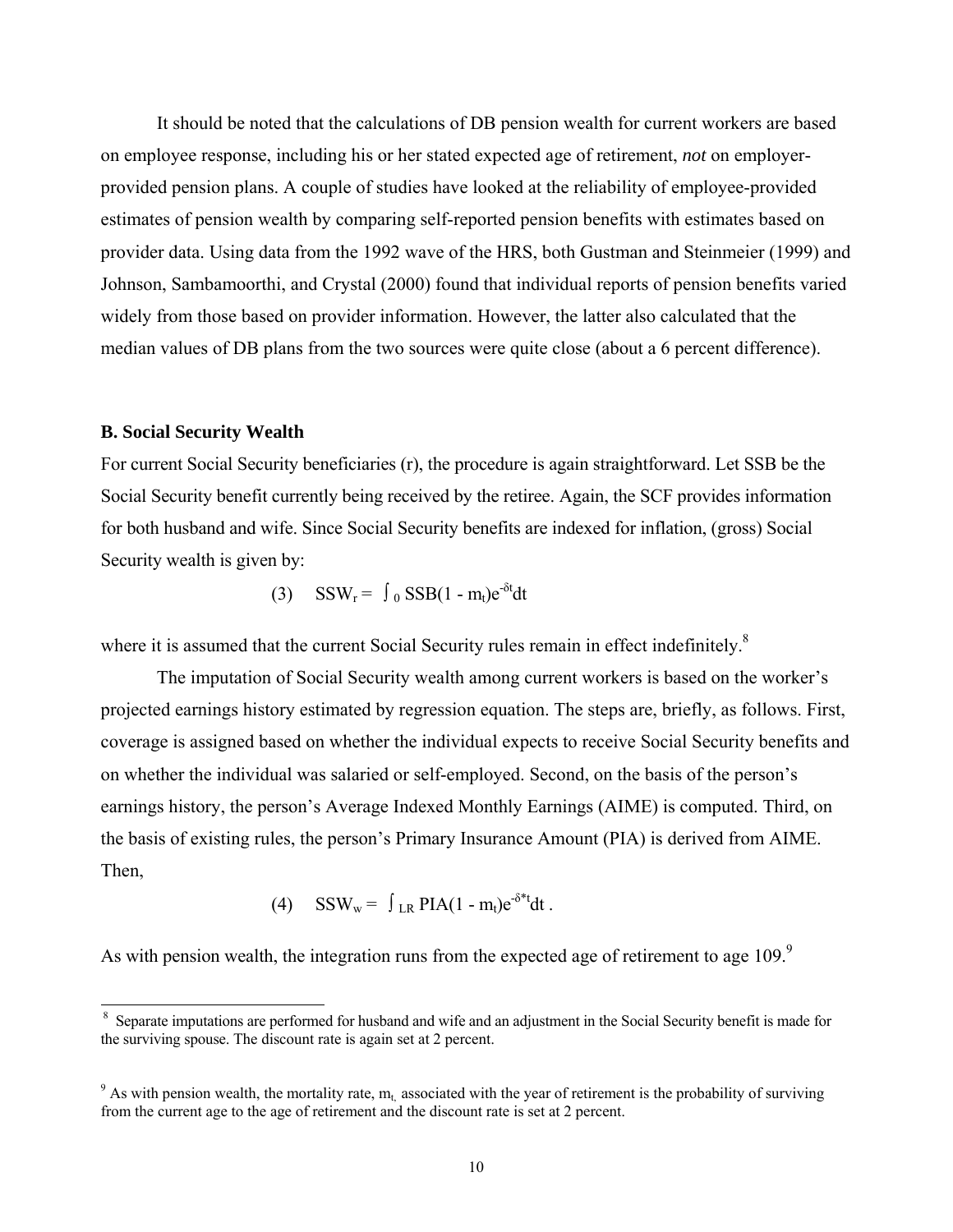It should be noted that the calculations of DB pension wealth for current workers are based on employee response, including his or her stated expected age of retirement, *not* on employerprovided pension plans. A couple of studies have looked at the reliability of employee-provided estimates of pension wealth by comparing self-reported pension benefits with estimates based on provider data. Using data from the 1992 wave of the HRS, both Gustman and Steinmeier (1999) and Johnson, Sambamoorthi, and Crystal (2000) found that individual reports of pension benefits varied widely from those based on provider information. However, the latter also calculated that the median values of DB plans from the two sources were quite close (about a 6 percent difference).

#### **B. Social Security Wealth**

l

For current Social Security beneficiaries (r), the procedure is again straightforward. Let SSB be the Social Security benefit currently being received by the retiree. Again, the SCF provides information for both husband and wife. Since Social Security benefits are indexed for inflation, (gross) Social Security wealth is given by:

$$
(3) \quad \text{SSW}_{r} = \int_{0}^{t} \text{SSB}(1 - m_{t})e^{-\delta t}dt
$$

where it is assumed that the current Social Security rules remain in effect indefinitely.<sup>8</sup>

 The imputation of Social Security wealth among current workers is based on the worker's projected earnings history estimated by regression equation. The steps are, briefly, as follows. First, coverage is assigned based on whether the individual expects to receive Social Security benefits and on whether the individual was salaried or self-employed. Second, on the basis of the person's earnings history, the person's Average Indexed Monthly Earnings (AIME) is computed. Third, on the basis of existing rules, the person's Primary Insurance Amount (PIA) is derived from AIME. Then,

(4) 
$$
SSW_w = \int_{LR} PIA(1 - m_t)e^{-\delta^*t} dt.
$$

As with pension wealth, the integration runs from the expected age of retirement to age  $109$ .<sup>9</sup>

<sup>&</sup>lt;sup>8</sup> Separate imputations are performed for husband and wife and an adjustment in the Social Security benefit is made for the surviving spouse. The discount rate is again set at 2 percent.

<sup>&</sup>lt;sup>9</sup> As with pension wealth, the mortality rate,  $m_t$  associated with the year of retirement is the probability of surviving from the current age to the age of retirement and the discount rate is set at 2 percent.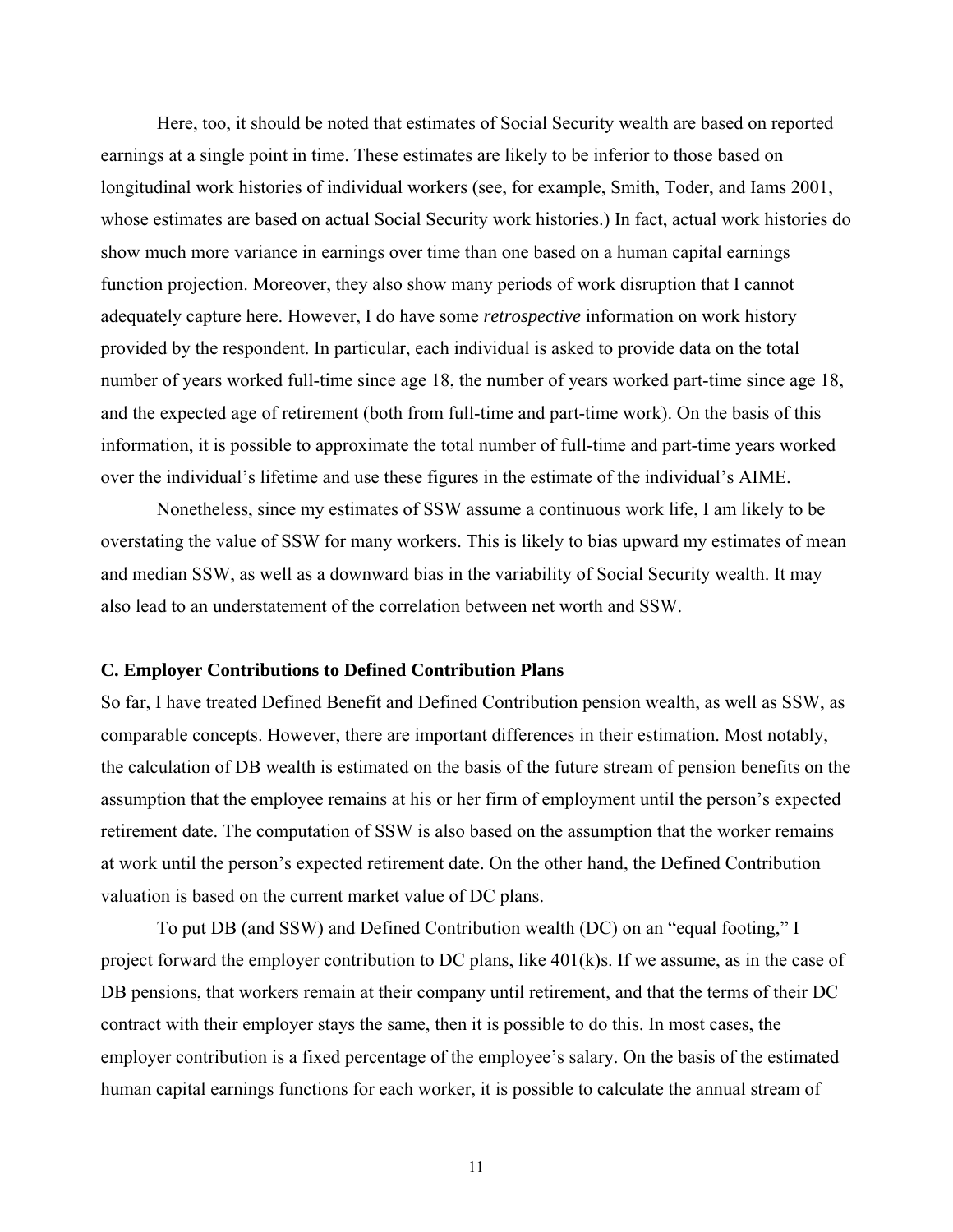Here, too, it should be noted that estimates of Social Security wealth are based on reported earnings at a single point in time. These estimates are likely to be inferior to those based on longitudinal work histories of individual workers (see, for example, Smith, Toder, and Iams 2001, whose estimates are based on actual Social Security work histories.) In fact, actual work histories do show much more variance in earnings over time than one based on a human capital earnings function projection. Moreover, they also show many periods of work disruption that I cannot adequately capture here. However, I do have some *retrospective* information on work history provided by the respondent. In particular, each individual is asked to provide data on the total number of years worked full-time since age 18, the number of years worked part-time since age 18, and the expected age of retirement (both from full-time and part-time work). On the basis of this information, it is possible to approximate the total number of full-time and part-time years worked over the individual's lifetime and use these figures in the estimate of the individual's AIME.

Nonetheless, since my estimates of SSW assume a continuous work life, I am likely to be overstating the value of SSW for many workers. This is likely to bias upward my estimates of mean and median SSW, as well as a downward bias in the variability of Social Security wealth. It may also lead to an understatement of the correlation between net worth and SSW.

#### **C. Employer Contributions to Defined Contribution Plans**

So far, I have treated Defined Benefit and Defined Contribution pension wealth, as well as SSW, as comparable concepts. However, there are important differences in their estimation. Most notably, the calculation of DB wealth is estimated on the basis of the future stream of pension benefits on the assumption that the employee remains at his or her firm of employment until the person's expected retirement date. The computation of SSW is also based on the assumption that the worker remains at work until the person's expected retirement date. On the other hand, the Defined Contribution valuation is based on the current market value of DC plans.

To put DB (and SSW) and Defined Contribution wealth (DC) on an "equal footing," I project forward the employer contribution to DC plans, like 401(k)s. If we assume, as in the case of DB pensions, that workers remain at their company until retirement, and that the terms of their DC contract with their employer stays the same, then it is possible to do this. In most cases, the employer contribution is a fixed percentage of the employee's salary. On the basis of the estimated human capital earnings functions for each worker, it is possible to calculate the annual stream of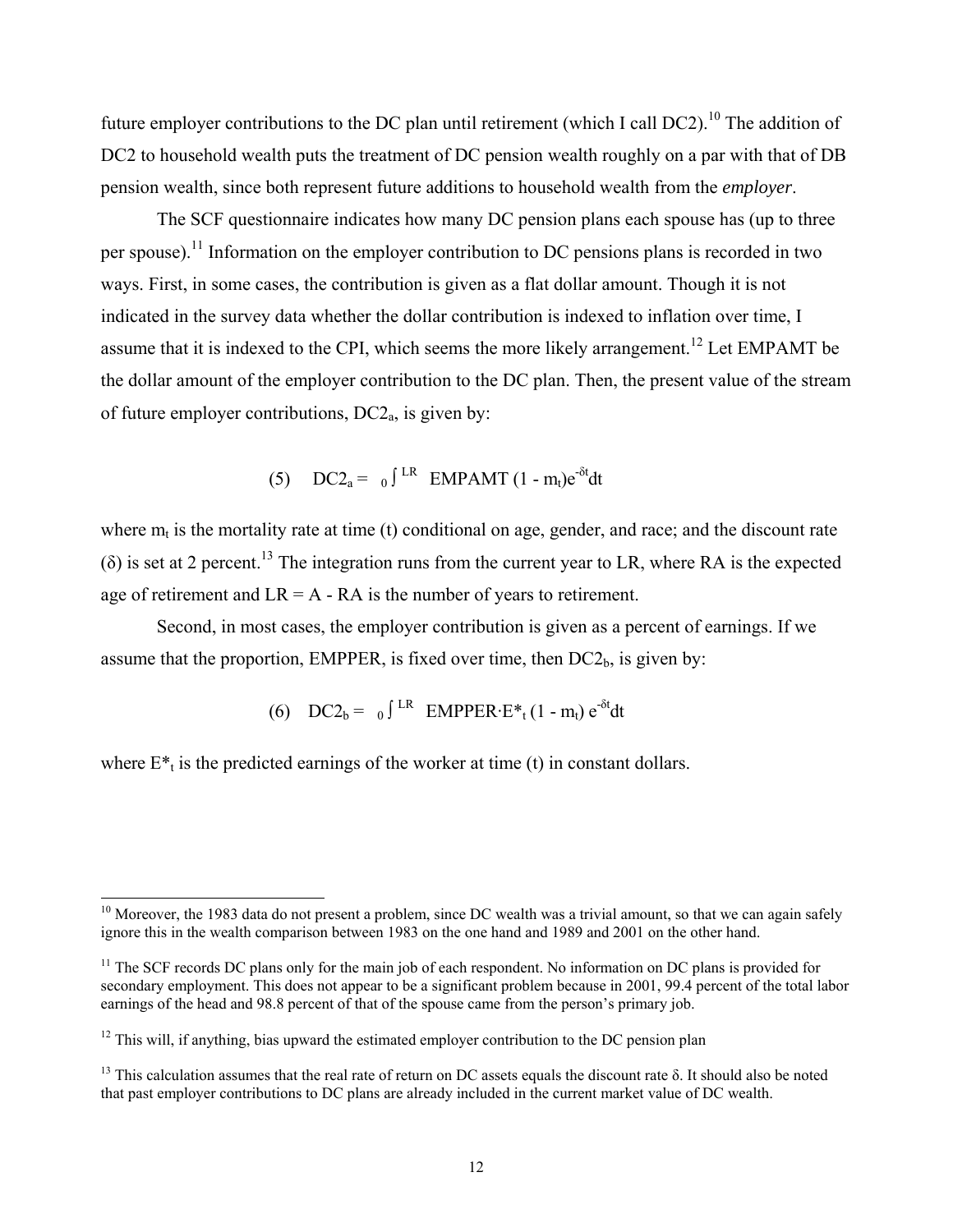future employer contributions to the DC plan until retirement (which I call DC2).<sup>10</sup> The addition of DC2 to household wealth puts the treatment of DC pension wealth roughly on a par with that of DB pension wealth, since both represent future additions to household wealth from the *employer*.

The SCF questionnaire indicates how many DC pension plans each spouse has (up to three per spouse).11 Information on the employer contribution to DC pensions plans is recorded in two ways. First, in some cases, the contribution is given as a flat dollar amount. Though it is not indicated in the survey data whether the dollar contribution is indexed to inflation over time, I assume that it is indexed to the CPI, which seems the more likely arrangement.<sup>12</sup> Let EMPAMT be the dollar amount of the employer contribution to the DC plan. Then, the present value of the stream of future employer contributions,  $DC2<sub>a</sub>$ , is given by:

(5) 
$$
DC2_a = 0 \int \text{LR} \quad \text{EMPAMT} \ (1 - m_t) e^{-\delta t} dt
$$

where  $m_t$  is the mortality rate at time (t) conditional on age, gender, and race; and the discount rate  $(\delta)$  is set at 2 percent.<sup>13</sup> The integration runs from the current year to LR, where RA is the expected age of retirement and  $LR = A - RA$  is the number of years to retirement.

Second, in most cases, the employer contribution is given as a percent of earnings. If we assume that the proportion, EMPPER, is fixed over time, then  $DC2<sub>b</sub>$ , is given by:

(6) 
$$
DC2_b = 0
$$
  $\int \text{LR} \quad \text{EMPER} \cdot E^*_{t} (1 - m_t) e^{-\delta t} dt$ 

where  $E^*$ <sub>t</sub> is the predicted earnings of the worker at time (t) in constant dollars.

l

 $10$  Moreover, the 1983 data do not present a problem, since DC wealth was a trivial amount, so that we can again safely ignore this in the wealth comparison between 1983 on the one hand and 1989 and 2001 on the other hand.

<sup>&</sup>lt;sup>11</sup> The SCF records DC plans only for the main job of each respondent. No information on DC plans is provided for secondary employment. This does not appear to be a significant problem because in 2001, 99.4 percent of the total labor earnings of the head and 98.8 percent of that of the spouse came from the person's primary job.

 $12$  This will, if anything, bias upward the estimated employer contribution to the DC pension plan

<sup>&</sup>lt;sup>13</sup> This calculation assumes that the real rate of return on DC assets equals the discount rate δ. It should also be noted that past employer contributions to DC plans are already included in the current market value of DC wealth.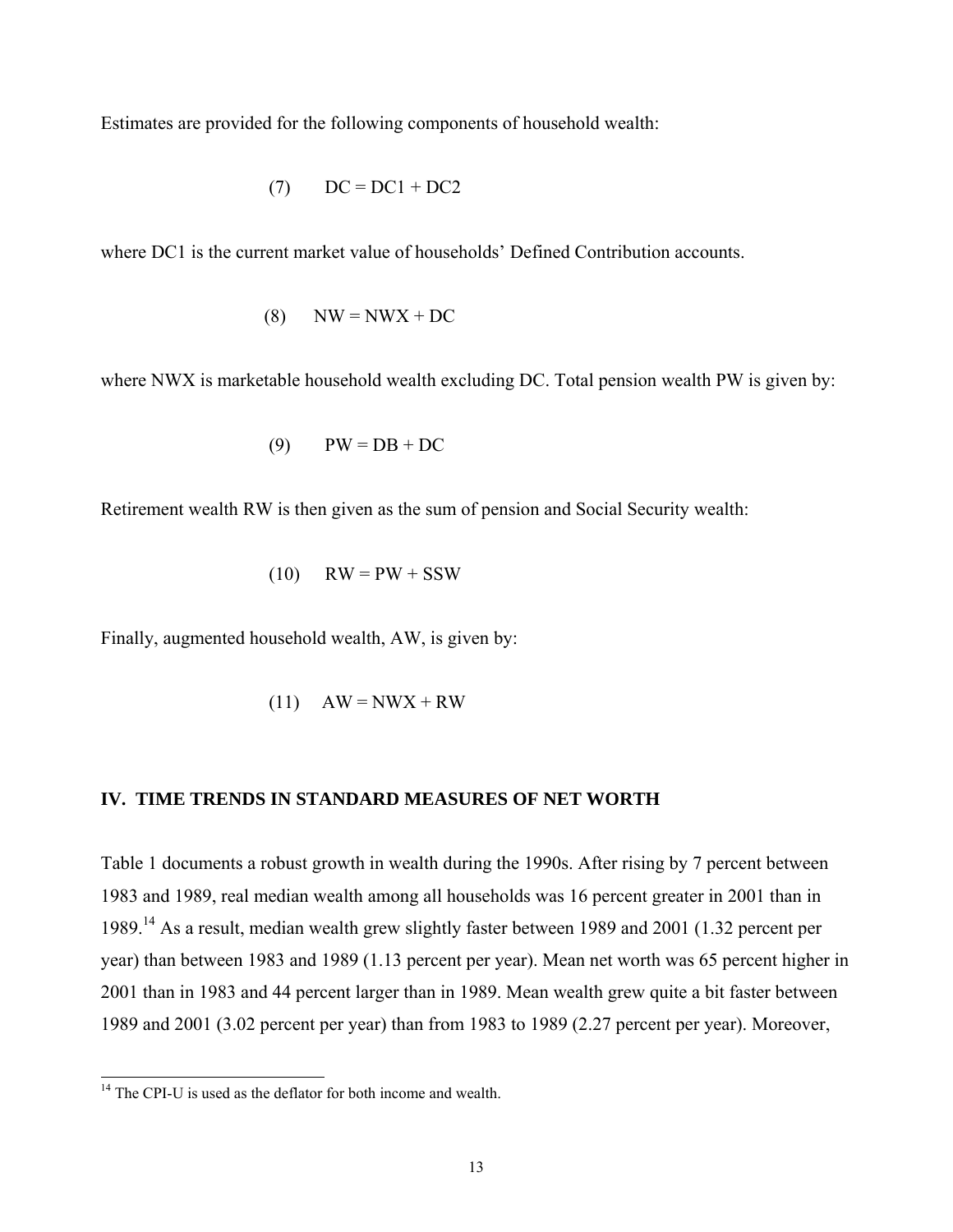Estimates are provided for the following components of household wealth:

$$
(7) \qquad DC = DC1 + DC2
$$

where DC1 is the current market value of households' Defined Contribution accounts.

$$
(8) \qquad \text{NW} = \text{NWX} + \text{DC}
$$

where NWX is marketable household wealth excluding DC. Total pension wealth PW is given by:

$$
(9) \qquad PW = DB + DC
$$

Retirement wealth RW is then given as the sum of pension and Social Security wealth:

$$
(10) \qquad \text{RW} = \text{PW} + \text{SSW}
$$

Finally, augmented household wealth, AW, is given by:

$$
(11) \quad AW = NWX + RW
$$

#### **IV. TIME TRENDS IN STANDARD MEASURES OF NET WORTH**

Table 1 documents a robust growth in wealth during the 1990s. After rising by 7 percent between 1983 and 1989, real median wealth among all households was 16 percent greater in 2001 than in 1989.14 As a result, median wealth grew slightly faster between 1989 and 2001 (1.32 percent per year) than between 1983 and 1989 (1.13 percent per year). Mean net worth was 65 percent higher in 2001 than in 1983 and 44 percent larger than in 1989. Mean wealth grew quite a bit faster between 1989 and 2001 (3.02 percent per year) than from 1983 to 1989 (2.27 percent per year). Moreover,

l

<sup>&</sup>lt;sup>14</sup> The CPI-U is used as the deflator for both income and wealth.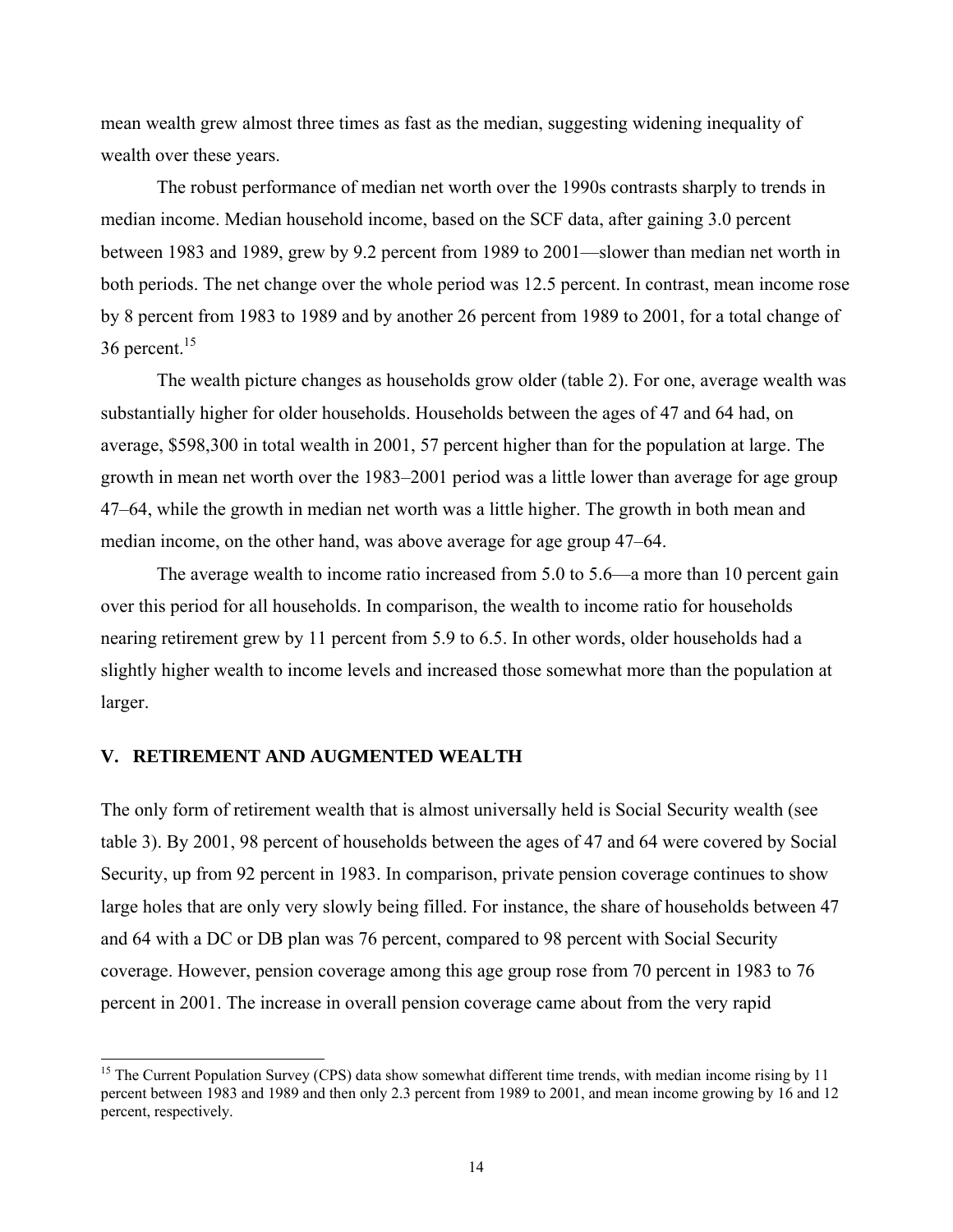mean wealth grew almost three times as fast as the median, suggesting widening inequality of wealth over these years.

The robust performance of median net worth over the 1990s contrasts sharply to trends in median income. Median household income, based on the SCF data, after gaining 3.0 percent between 1983 and 1989, grew by 9.2 percent from 1989 to 2001—slower than median net worth in both periods. The net change over the whole period was 12.5 percent. In contrast, mean income rose by 8 percent from 1983 to 1989 and by another 26 percent from 1989 to 2001, for a total change of 36 percent.15

The wealth picture changes as households grow older (table 2). For one, average wealth was substantially higher for older households. Households between the ages of 47 and 64 had, on average, \$598,300 in total wealth in 2001, 57 percent higher than for the population at large. The growth in mean net worth over the 1983–2001 period was a little lower than average for age group 47–64, while the growth in median net worth was a little higher. The growth in both mean and median income, on the other hand, was above average for age group 47–64.

The average wealth to income ratio increased from 5.0 to 5.6—a more than 10 percent gain over this period for all households. In comparison, the wealth to income ratio for households nearing retirement grew by 11 percent from 5.9 to 6.5. In other words, older households had a slightly higher wealth to income levels and increased those somewhat more than the population at larger.

#### **V. RETIREMENT AND AUGMENTED WEALTH**

l

The only form of retirement wealth that is almost universally held is Social Security wealth (see table 3). By 2001, 98 percent of households between the ages of 47 and 64 were covered by Social Security, up from 92 percent in 1983. In comparison, private pension coverage continues to show large holes that are only very slowly being filled. For instance, the share of households between 47 and 64 with a DC or DB plan was 76 percent, compared to 98 percent with Social Security coverage. However, pension coverage among this age group rose from 70 percent in 1983 to 76 percent in 2001. The increase in overall pension coverage came about from the very rapid

<sup>&</sup>lt;sup>15</sup> The Current Population Survey (CPS) data show somewhat different time trends, with median income rising by 11 percent between 1983 and 1989 and then only 2.3 percent from 1989 to 2001, and mean income growing by 16 and 12 percent, respectively.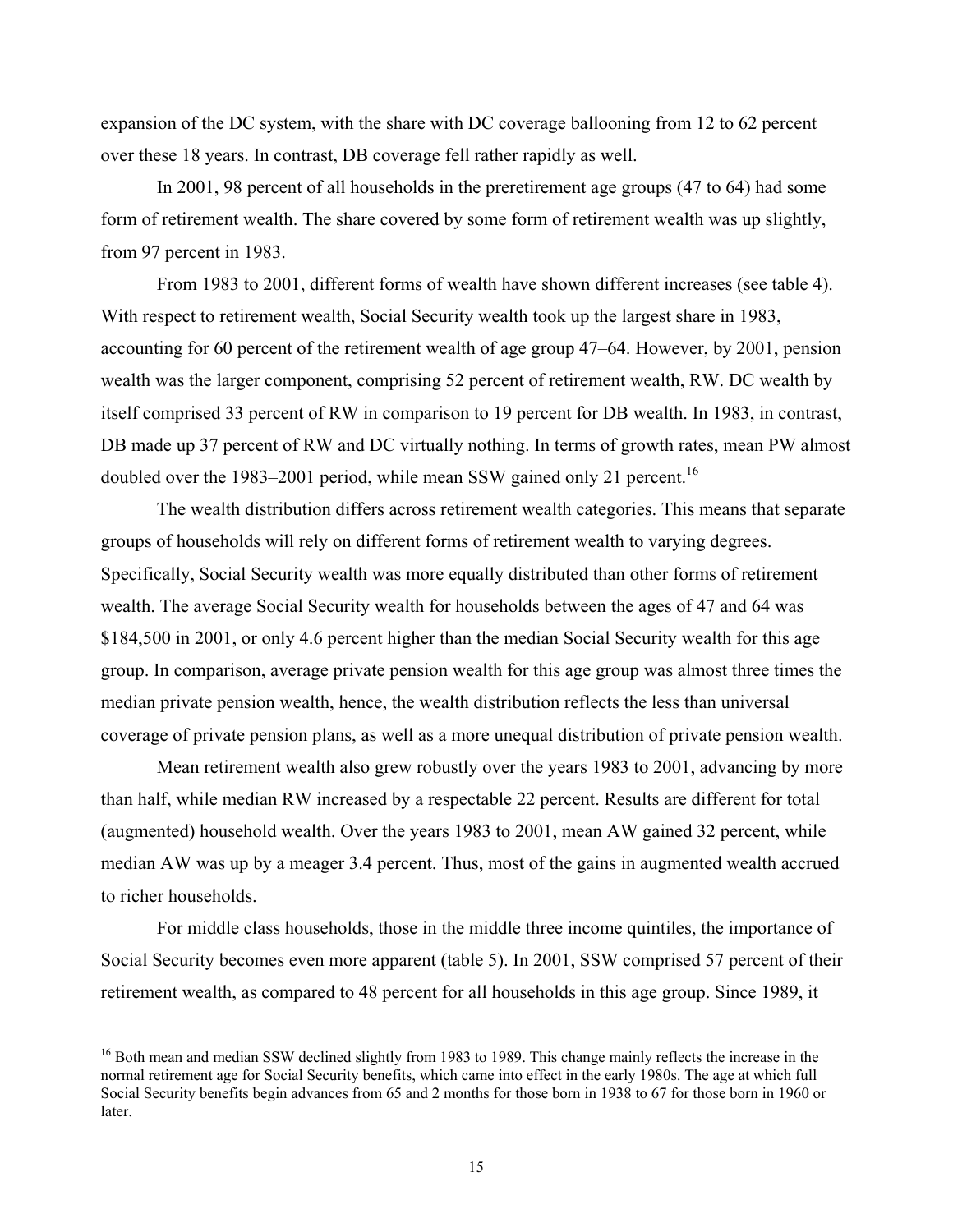expansion of the DC system, with the share with DC coverage ballooning from 12 to 62 percent over these 18 years. In contrast, DB coverage fell rather rapidly as well.

In 2001, 98 percent of all households in the preretirement age groups (47 to 64) had some form of retirement wealth. The share covered by some form of retirement wealth was up slightly, from 97 percent in 1983.

From 1983 to 2001, different forms of wealth have shown different increases (see table 4). With respect to retirement wealth, Social Security wealth took up the largest share in 1983, accounting for 60 percent of the retirement wealth of age group 47–64. However, by 2001, pension wealth was the larger component, comprising 52 percent of retirement wealth, RW. DC wealth by itself comprised 33 percent of RW in comparison to 19 percent for DB wealth. In 1983, in contrast, DB made up 37 percent of RW and DC virtually nothing. In terms of growth rates, mean PW almost doubled over the 1983–2001 period, while mean SSW gained only 21 percent.<sup>16</sup>

The wealth distribution differs across retirement wealth categories. This means that separate groups of households will rely on different forms of retirement wealth to varying degrees. Specifically, Social Security wealth was more equally distributed than other forms of retirement wealth. The average Social Security wealth for households between the ages of 47 and 64 was \$184,500 in 2001, or only 4.6 percent higher than the median Social Security wealth for this age group. In comparison, average private pension wealth for this age group was almost three times the median private pension wealth, hence, the wealth distribution reflects the less than universal coverage of private pension plans, as well as a more unequal distribution of private pension wealth.

Mean retirement wealth also grew robustly over the years 1983 to 2001, advancing by more than half, while median RW increased by a respectable 22 percent. Results are different for total (augmented) household wealth. Over the years 1983 to 2001, mean AW gained 32 percent, while median AW was up by a meager 3.4 percent. Thus, most of the gains in augmented wealth accrued to richer households.

For middle class households, those in the middle three income quintiles, the importance of Social Security becomes even more apparent (table 5). In 2001, SSW comprised 57 percent of their retirement wealth, as compared to 48 percent for all households in this age group. Since 1989, it

l

<sup>&</sup>lt;sup>16</sup> Both mean and median SSW declined slightly from 1983 to 1989. This change mainly reflects the increase in the normal retirement age for Social Security benefits, which came into effect in the early 1980s. The age at which full Social Security benefits begin advances from 65 and 2 months for those born in 1938 to 67 for those born in 1960 or later.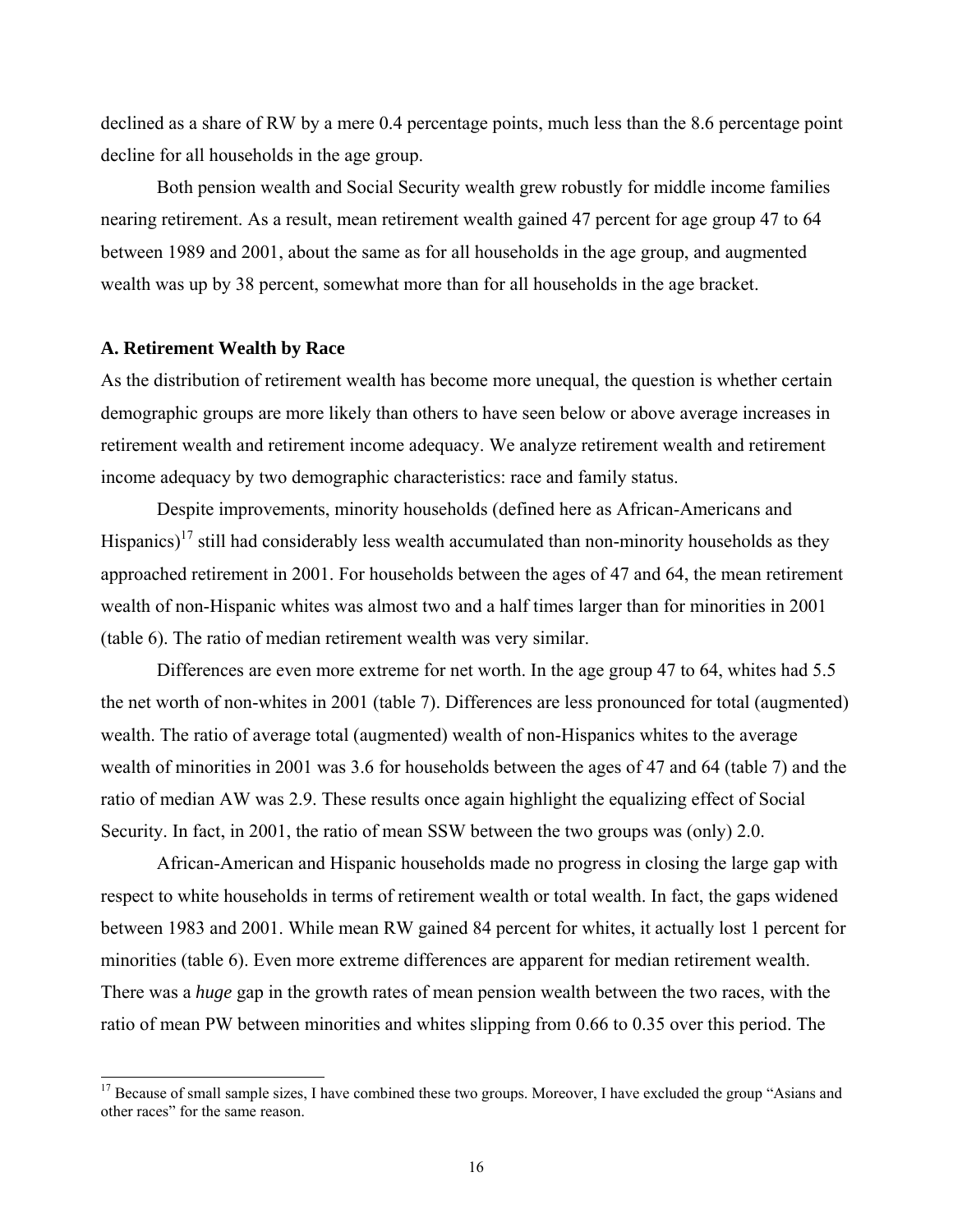declined as a share of RW by a mere 0.4 percentage points, much less than the 8.6 percentage point decline for all households in the age group.

Both pension wealth and Social Security wealth grew robustly for middle income families nearing retirement. As a result, mean retirement wealth gained 47 percent for age group 47 to 64 between 1989 and 2001, about the same as for all households in the age group, and augmented wealth was up by 38 percent, somewhat more than for all households in the age bracket.

#### **A. Retirement Wealth by Race**

l

As the distribution of retirement wealth has become more unequal, the question is whether certain demographic groups are more likely than others to have seen below or above average increases in retirement wealth and retirement income adequacy. We analyze retirement wealth and retirement income adequacy by two demographic characteristics: race and family status.

Despite improvements, minority households (defined here as African-Americans and Hispanics)<sup>17</sup> still had considerably less wealth accumulated than non-minority households as they approached retirement in 2001. For households between the ages of 47 and 64, the mean retirement wealth of non-Hispanic whites was almost two and a half times larger than for minorities in 2001 (table 6). The ratio of median retirement wealth was very similar.

Differences are even more extreme for net worth. In the age group 47 to 64, whites had 5.5 the net worth of non-whites in 2001 (table 7). Differences are less pronounced for total (augmented) wealth. The ratio of average total (augmented) wealth of non-Hispanics whites to the average wealth of minorities in 2001 was 3.6 for households between the ages of 47 and 64 (table 7) and the ratio of median AW was 2.9. These results once again highlight the equalizing effect of Social Security. In fact, in 2001, the ratio of mean SSW between the two groups was (only) 2.0.

African-American and Hispanic households made no progress in closing the large gap with respect to white households in terms of retirement wealth or total wealth. In fact, the gaps widened between 1983 and 2001. While mean RW gained 84 percent for whites, it actually lost 1 percent for minorities (table 6). Even more extreme differences are apparent for median retirement wealth. There was a *huge* gap in the growth rates of mean pension wealth between the two races, with the ratio of mean PW between minorities and whites slipping from 0.66 to 0.35 over this period. The

<sup>&</sup>lt;sup>17</sup> Because of small sample sizes, I have combined these two groups. Moreover, I have excluded the group "Asians and other races" for the same reason.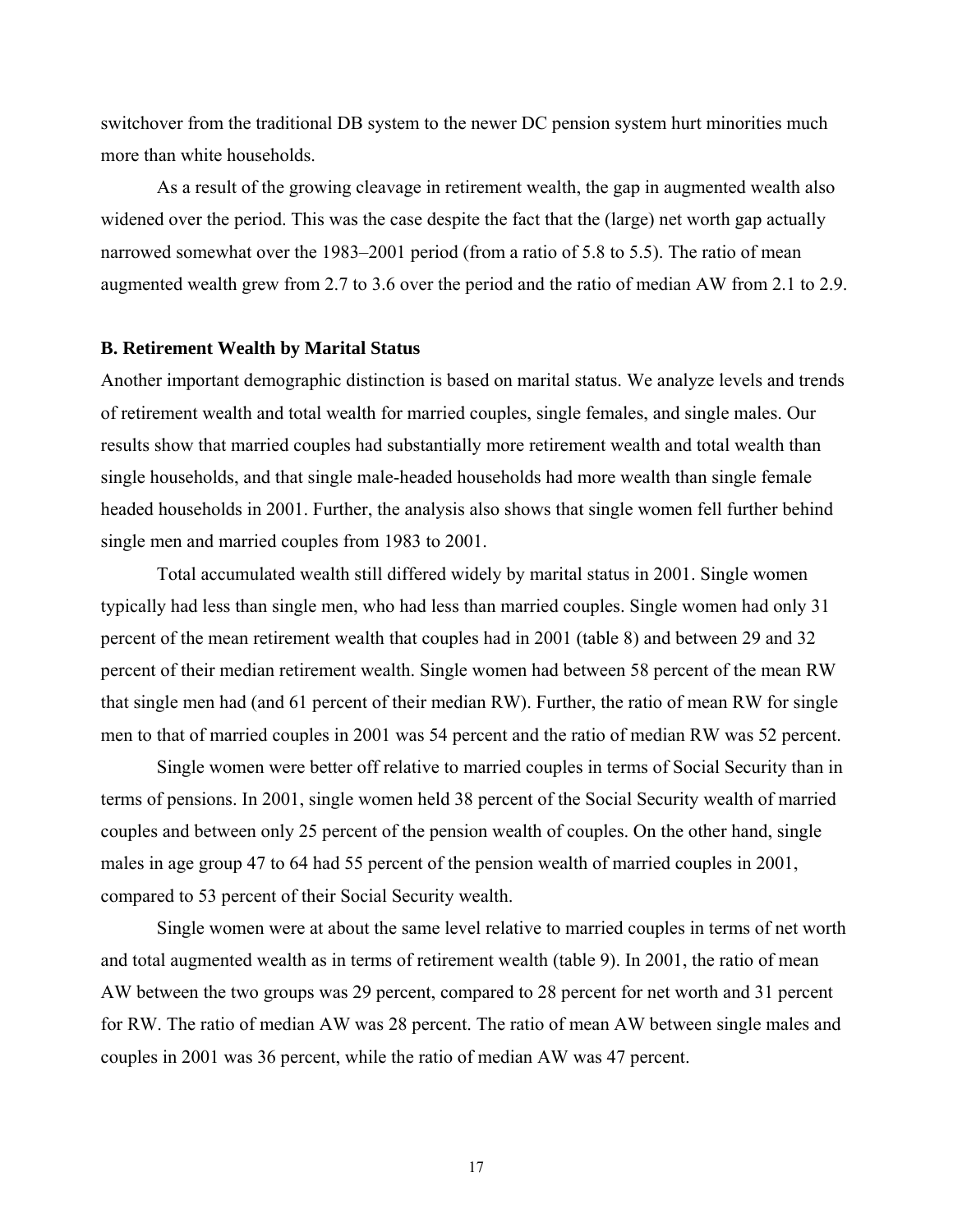switchover from the traditional DB system to the newer DC pension system hurt minorities much more than white households.

As a result of the growing cleavage in retirement wealth, the gap in augmented wealth also widened over the period. This was the case despite the fact that the (large) net worth gap actually narrowed somewhat over the 1983–2001 period (from a ratio of 5.8 to 5.5). The ratio of mean augmented wealth grew from 2.7 to 3.6 over the period and the ratio of median AW from 2.1 to 2.9.

#### **B. Retirement Wealth by Marital Status**

Another important demographic distinction is based on marital status. We analyze levels and trends of retirement wealth and total wealth for married couples, single females, and single males. Our results show that married couples had substantially more retirement wealth and total wealth than single households, and that single male-headed households had more wealth than single female headed households in 2001. Further, the analysis also shows that single women fell further behind single men and married couples from 1983 to 2001.

Total accumulated wealth still differed widely by marital status in 2001. Single women typically had less than single men, who had less than married couples. Single women had only 31 percent of the mean retirement wealth that couples had in 2001 (table 8) and between 29 and 32 percent of their median retirement wealth. Single women had between 58 percent of the mean RW that single men had (and 61 percent of their median RW). Further, the ratio of mean RW for single men to that of married couples in 2001 was 54 percent and the ratio of median RW was 52 percent.

Single women were better off relative to married couples in terms of Social Security than in terms of pensions. In 2001, single women held 38 percent of the Social Security wealth of married couples and between only 25 percent of the pension wealth of couples. On the other hand, single males in age group 47 to 64 had 55 percent of the pension wealth of married couples in 2001, compared to 53 percent of their Social Security wealth.

Single women were at about the same level relative to married couples in terms of net worth and total augmented wealth as in terms of retirement wealth (table 9). In 2001, the ratio of mean AW between the two groups was 29 percent, compared to 28 percent for net worth and 31 percent for RW. The ratio of median AW was 28 percent. The ratio of mean AW between single males and couples in 2001 was 36 percent, while the ratio of median AW was 47 percent.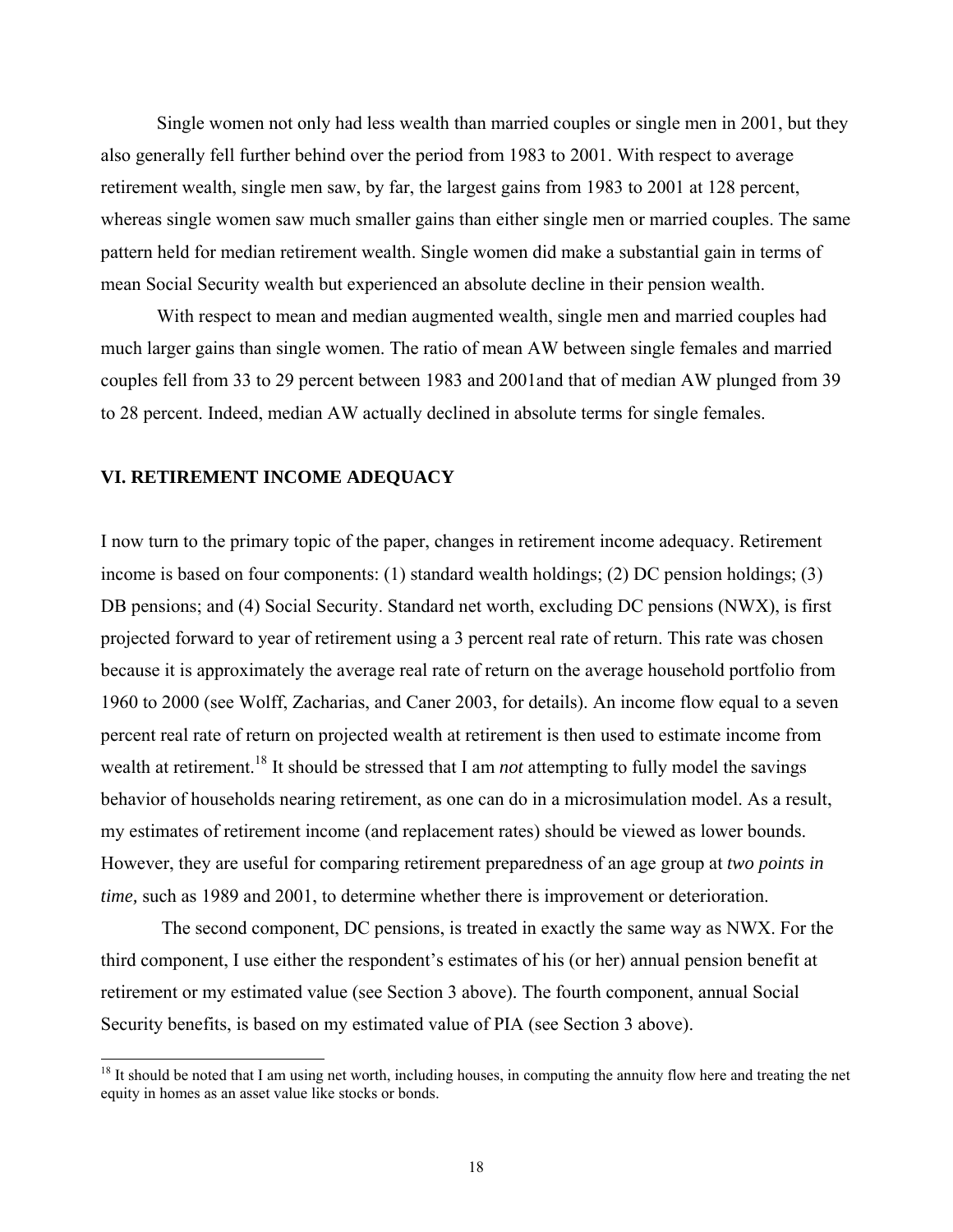Single women not only had less wealth than married couples or single men in 2001, but they also generally fell further behind over the period from 1983 to 2001. With respect to average retirement wealth, single men saw, by far, the largest gains from 1983 to 2001 at 128 percent, whereas single women saw much smaller gains than either single men or married couples. The same pattern held for median retirement wealth. Single women did make a substantial gain in terms of mean Social Security wealth but experienced an absolute decline in their pension wealth.

With respect to mean and median augmented wealth, single men and married couples had much larger gains than single women. The ratio of mean AW between single females and married couples fell from 33 to 29 percent between 1983 and 2001and that of median AW plunged from 39 to 28 percent. Indeed, median AW actually declined in absolute terms for single females.

#### **VI. RETIREMENT INCOME ADEQUACY**

l

I now turn to the primary topic of the paper, changes in retirement income adequacy. Retirement income is based on four components: (1) standard wealth holdings; (2) DC pension holdings; (3) DB pensions; and (4) Social Security. Standard net worth, excluding DC pensions (NWX), is first projected forward to year of retirement using a 3 percent real rate of return. This rate was chosen because it is approximately the average real rate of return on the average household portfolio from 1960 to 2000 (see Wolff, Zacharias, and Caner 2003, for details). An income flow equal to a seven percent real rate of return on projected wealth at retirement is then used to estimate income from wealth at retirement.<sup>18</sup> It should be stressed that I am *not* attempting to fully model the savings behavior of households nearing retirement, as one can do in a microsimulation model. As a result, my estimates of retirement income (and replacement rates) should be viewed as lower bounds. However, they are useful for comparing retirement preparedness of an age group at *two points in time,* such as 1989 and 2001, to determine whether there is improvement or deterioration.

 The second component, DC pensions, is treated in exactly the same way as NWX. For the third component, I use either the respondent's estimates of his (or her) annual pension benefit at retirement or my estimated value (see Section 3 above). The fourth component, annual Social Security benefits, is based on my estimated value of PIA (see Section 3 above).

 $18$  It should be noted that I am using net worth, including houses, in computing the annuity flow here and treating the net equity in homes as an asset value like stocks or bonds.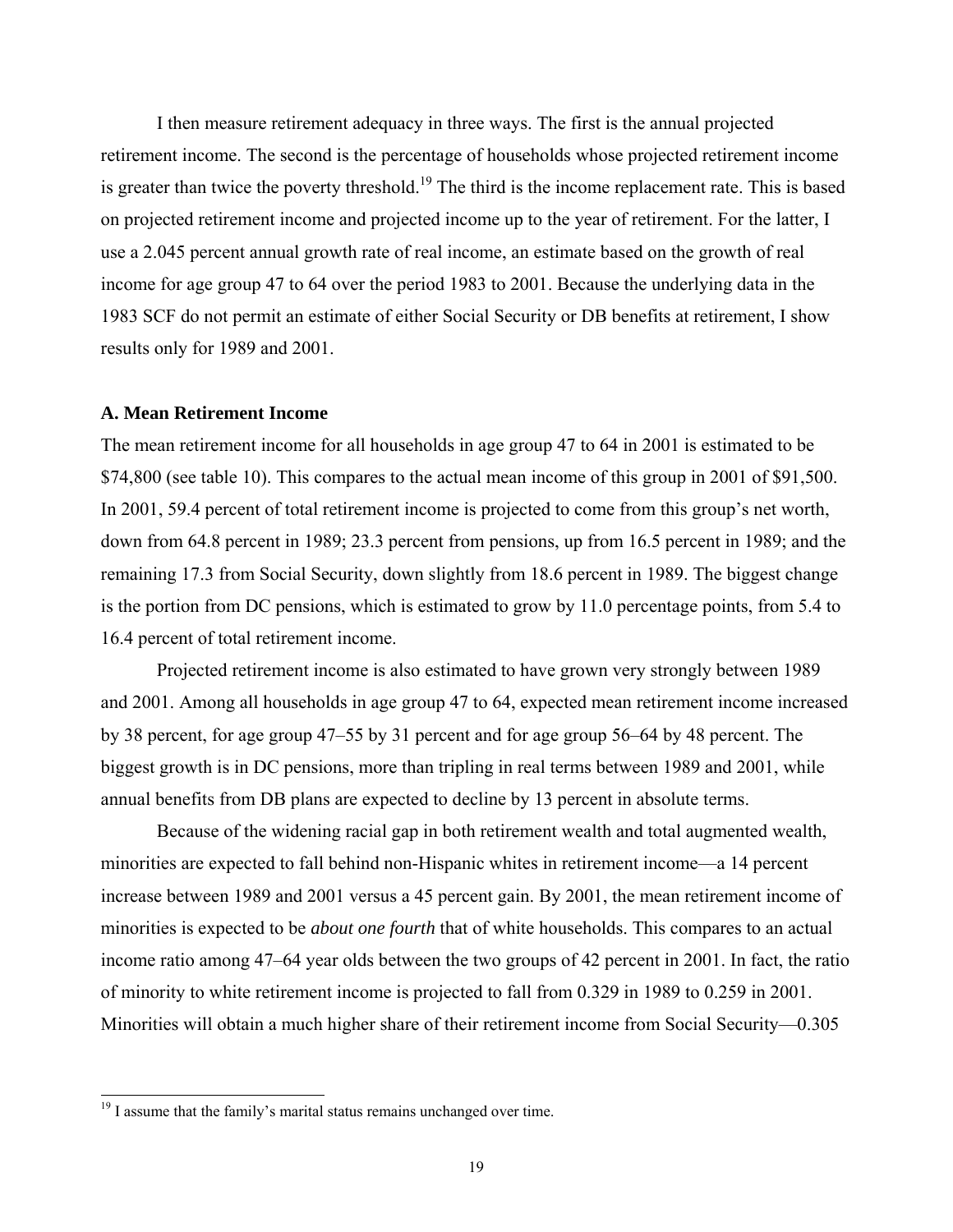I then measure retirement adequacy in three ways. The first is the annual projected retirement income. The second is the percentage of households whose projected retirement income is greater than twice the poverty threshold.<sup>19</sup> The third is the income replacement rate. This is based on projected retirement income and projected income up to the year of retirement. For the latter, I use a 2.045 percent annual growth rate of real income, an estimate based on the growth of real income for age group 47 to 64 over the period 1983 to 2001. Because the underlying data in the 1983 SCF do not permit an estimate of either Social Security or DB benefits at retirement, I show results only for 1989 and 2001.

#### **A. Mean Retirement Income**

The mean retirement income for all households in age group 47 to 64 in 2001 is estimated to be \$74,800 (see table 10). This compares to the actual mean income of this group in 2001 of \$91,500. In 2001, 59.4 percent of total retirement income is projected to come from this group's net worth, down from 64.8 percent in 1989; 23.3 percent from pensions, up from 16.5 percent in 1989; and the remaining 17.3 from Social Security, down slightly from 18.6 percent in 1989. The biggest change is the portion from DC pensions, which is estimated to grow by 11.0 percentage points, from 5.4 to 16.4 percent of total retirement income.

Projected retirement income is also estimated to have grown very strongly between 1989 and 2001. Among all households in age group 47 to 64, expected mean retirement income increased by 38 percent, for age group 47–55 by 31 percent and for age group 56–64 by 48 percent. The biggest growth is in DC pensions, more than tripling in real terms between 1989 and 2001, while annual benefits from DB plans are expected to decline by 13 percent in absolute terms.

Because of the widening racial gap in both retirement wealth and total augmented wealth, minorities are expected to fall behind non-Hispanic whites in retirement income—a 14 percent increase between 1989 and 2001 versus a 45 percent gain. By 2001, the mean retirement income of minorities is expected to be *about one fourth* that of white households. This compares to an actual income ratio among 47–64 year olds between the two groups of 42 percent in 2001. In fact, the ratio of minority to white retirement income is projected to fall from 0.329 in 1989 to 0.259 in 2001. Minorities will obtain a much higher share of their retirement income from Social Security—0.305

l

 $19$  I assume that the family's marital status remains unchanged over time.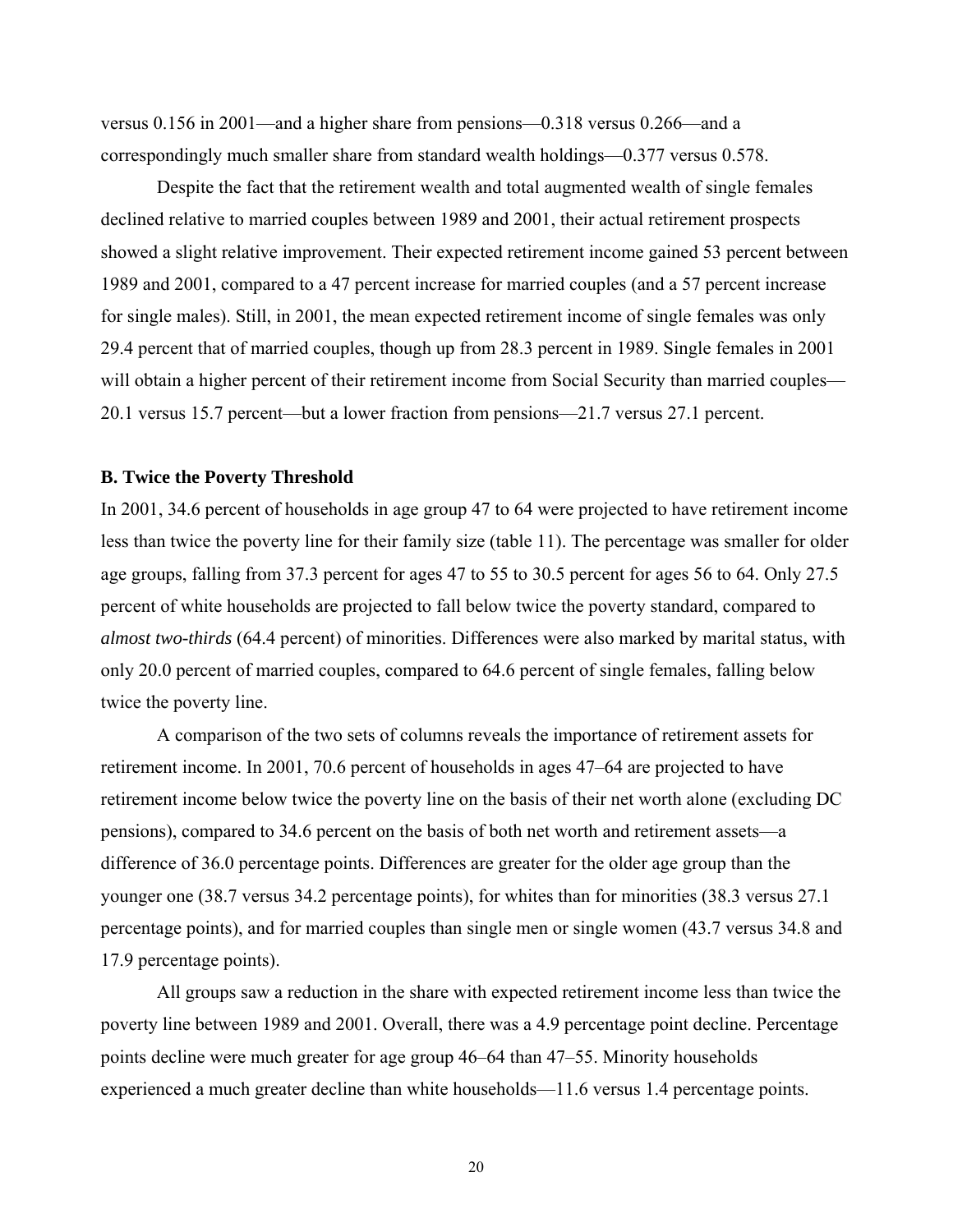versus 0.156 in 2001—and a higher share from pensions—0.318 versus 0.266—and a correspondingly much smaller share from standard wealth holdings—0.377 versus 0.578.

Despite the fact that the retirement wealth and total augmented wealth of single females declined relative to married couples between 1989 and 2001, their actual retirement prospects showed a slight relative improvement. Their expected retirement income gained 53 percent between 1989 and 2001, compared to a 47 percent increase for married couples (and a 57 percent increase for single males). Still, in 2001, the mean expected retirement income of single females was only 29.4 percent that of married couples, though up from 28.3 percent in 1989. Single females in 2001 will obtain a higher percent of their retirement income from Social Security than married couples— 20.1 versus 15.7 percent—but a lower fraction from pensions—21.7 versus 27.1 percent.

#### **B. Twice the Poverty Threshold**

In 2001, 34.6 percent of households in age group 47 to 64 were projected to have retirement income less than twice the poverty line for their family size (table 11). The percentage was smaller for older age groups, falling from 37.3 percent for ages 47 to 55 to 30.5 percent for ages 56 to 64. Only 27.5 percent of white households are projected to fall below twice the poverty standard, compared to *almost two-thirds* (64.4 percent) of minorities. Differences were also marked by marital status, with only 20.0 percent of married couples, compared to 64.6 percent of single females, falling below twice the poverty line.

A comparison of the two sets of columns reveals the importance of retirement assets for retirement income. In 2001, 70.6 percent of households in ages 47–64 are projected to have retirement income below twice the poverty line on the basis of their net worth alone (excluding DC pensions), compared to 34.6 percent on the basis of both net worth and retirement assets—a difference of 36.0 percentage points. Differences are greater for the older age group than the younger one (38.7 versus 34.2 percentage points), for whites than for minorities (38.3 versus 27.1 percentage points), and for married couples than single men or single women (43.7 versus 34.8 and 17.9 percentage points).

All groups saw a reduction in the share with expected retirement income less than twice the poverty line between 1989 and 2001. Overall, there was a 4.9 percentage point decline. Percentage points decline were much greater for age group 46–64 than 47–55. Minority households experienced a much greater decline than white households—11.6 versus 1.4 percentage points.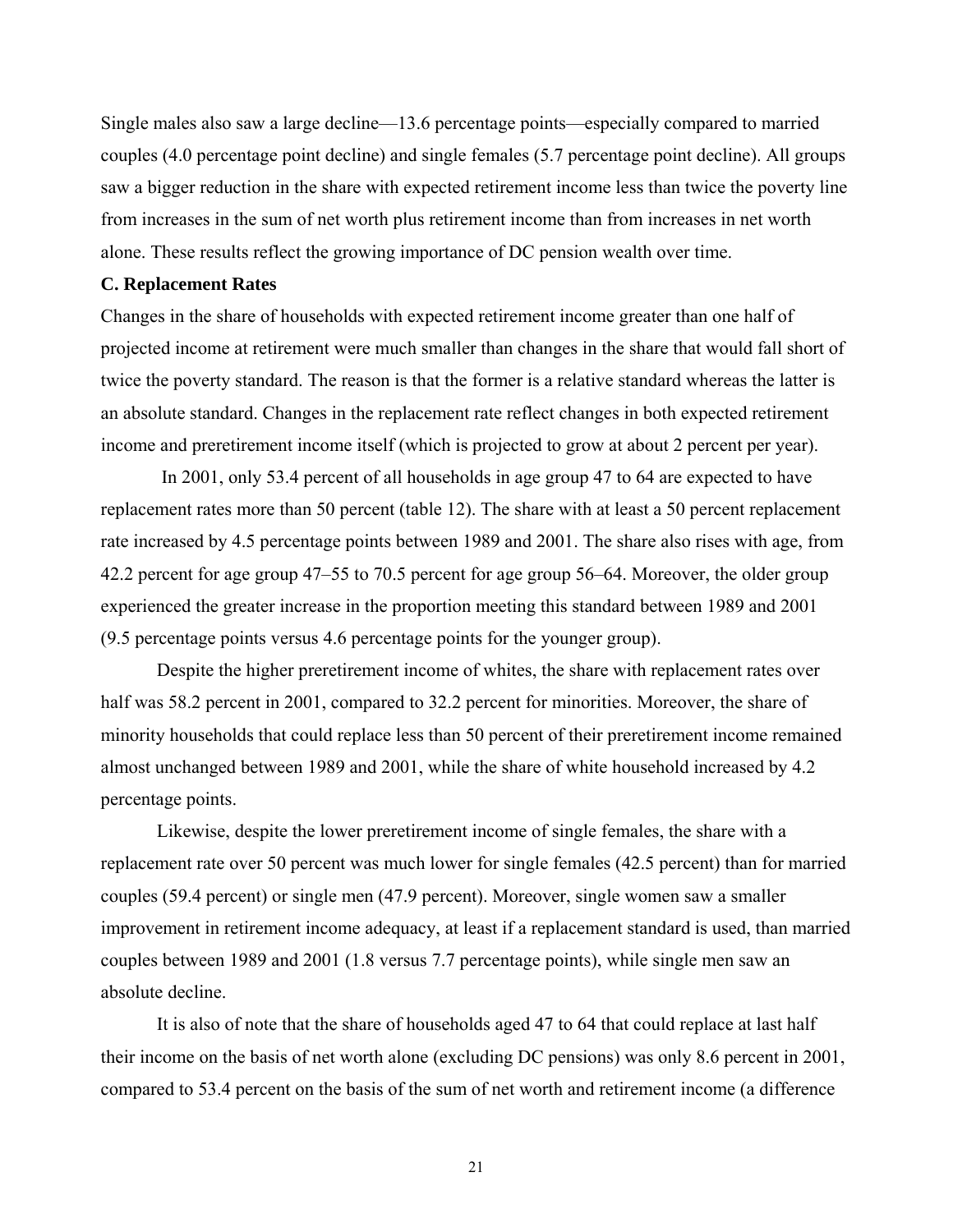Single males also saw a large decline—13.6 percentage points—especially compared to married couples (4.0 percentage point decline) and single females (5.7 percentage point decline). All groups saw a bigger reduction in the share with expected retirement income less than twice the poverty line from increases in the sum of net worth plus retirement income than from increases in net worth alone. These results reflect the growing importance of DC pension wealth over time.

#### **C. Replacement Rates**

Changes in the share of households with expected retirement income greater than one half of projected income at retirement were much smaller than changes in the share that would fall short of twice the poverty standard. The reason is that the former is a relative standard whereas the latter is an absolute standard. Changes in the replacement rate reflect changes in both expected retirement income and preretirement income itself (which is projected to grow at about 2 percent per year).

 In 2001, only 53.4 percent of all households in age group 47 to 64 are expected to have replacement rates more than 50 percent (table 12). The share with at least a 50 percent replacement rate increased by 4.5 percentage points between 1989 and 2001. The share also rises with age, from 42.2 percent for age group 47–55 to 70.5 percent for age group 56–64. Moreover, the older group experienced the greater increase in the proportion meeting this standard between 1989 and 2001 (9.5 percentage points versus 4.6 percentage points for the younger group).

Despite the higher preretirement income of whites, the share with replacement rates over half was 58.2 percent in 2001, compared to 32.2 percent for minorities. Moreover, the share of minority households that could replace less than 50 percent of their preretirement income remained almost unchanged between 1989 and 2001, while the share of white household increased by 4.2 percentage points.

Likewise, despite the lower preretirement income of single females, the share with a replacement rate over 50 percent was much lower for single females (42.5 percent) than for married couples (59.4 percent) or single men (47.9 percent). Moreover, single women saw a smaller improvement in retirement income adequacy, at least if a replacement standard is used, than married couples between 1989 and 2001 (1.8 versus 7.7 percentage points), while single men saw an absolute decline.

It is also of note that the share of households aged 47 to 64 that could replace at last half their income on the basis of net worth alone (excluding DC pensions) was only 8.6 percent in 2001, compared to 53.4 percent on the basis of the sum of net worth and retirement income (a difference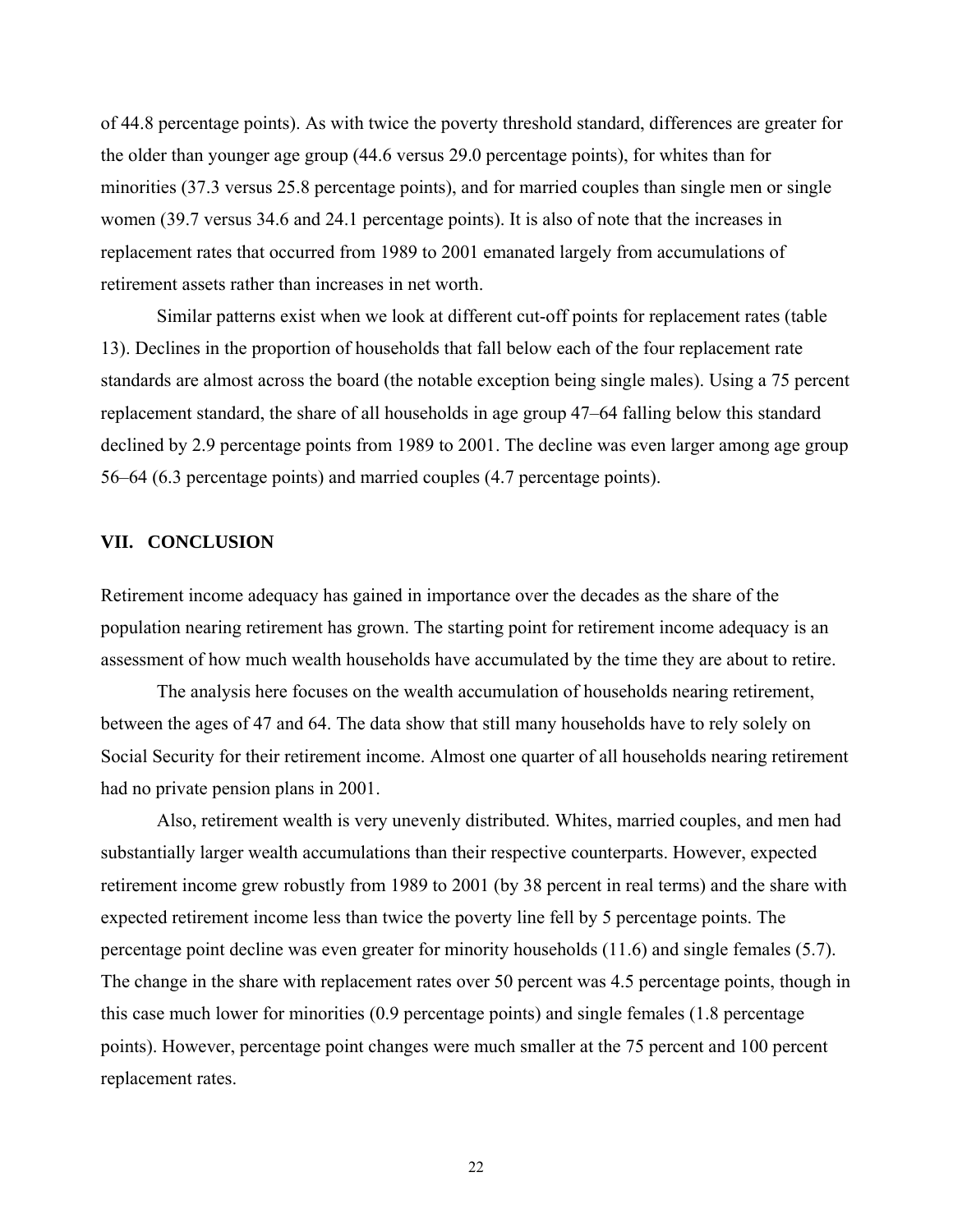of 44.8 percentage points). As with twice the poverty threshold standard, differences are greater for the older than younger age group (44.6 versus 29.0 percentage points), for whites than for minorities (37.3 versus 25.8 percentage points), and for married couples than single men or single women (39.7 versus 34.6 and 24.1 percentage points). It is also of note that the increases in replacement rates that occurred from 1989 to 2001 emanated largely from accumulations of retirement assets rather than increases in net worth.

Similar patterns exist when we look at different cut-off points for replacement rates (table 13). Declines in the proportion of households that fall below each of the four replacement rate standards are almost across the board (the notable exception being single males). Using a 75 percent replacement standard, the share of all households in age group 47–64 falling below this standard declined by 2.9 percentage points from 1989 to 2001. The decline was even larger among age group 56–64 (6.3 percentage points) and married couples (4.7 percentage points).

#### **VII. CONCLUSION**

Retirement income adequacy has gained in importance over the decades as the share of the population nearing retirement has grown. The starting point for retirement income adequacy is an assessment of how much wealth households have accumulated by the time they are about to retire.

The analysis here focuses on the wealth accumulation of households nearing retirement, between the ages of 47 and 64. The data show that still many households have to rely solely on Social Security for their retirement income. Almost one quarter of all households nearing retirement had no private pension plans in 2001.

Also, retirement wealth is very unevenly distributed. Whites, married couples, and men had substantially larger wealth accumulations than their respective counterparts. However, expected retirement income grew robustly from 1989 to 2001 (by 38 percent in real terms) and the share with expected retirement income less than twice the poverty line fell by 5 percentage points. The percentage point decline was even greater for minority households (11.6) and single females (5.7). The change in the share with replacement rates over 50 percent was 4.5 percentage points, though in this case much lower for minorities (0.9 percentage points) and single females (1.8 percentage points). However, percentage point changes were much smaller at the 75 percent and 100 percent replacement rates.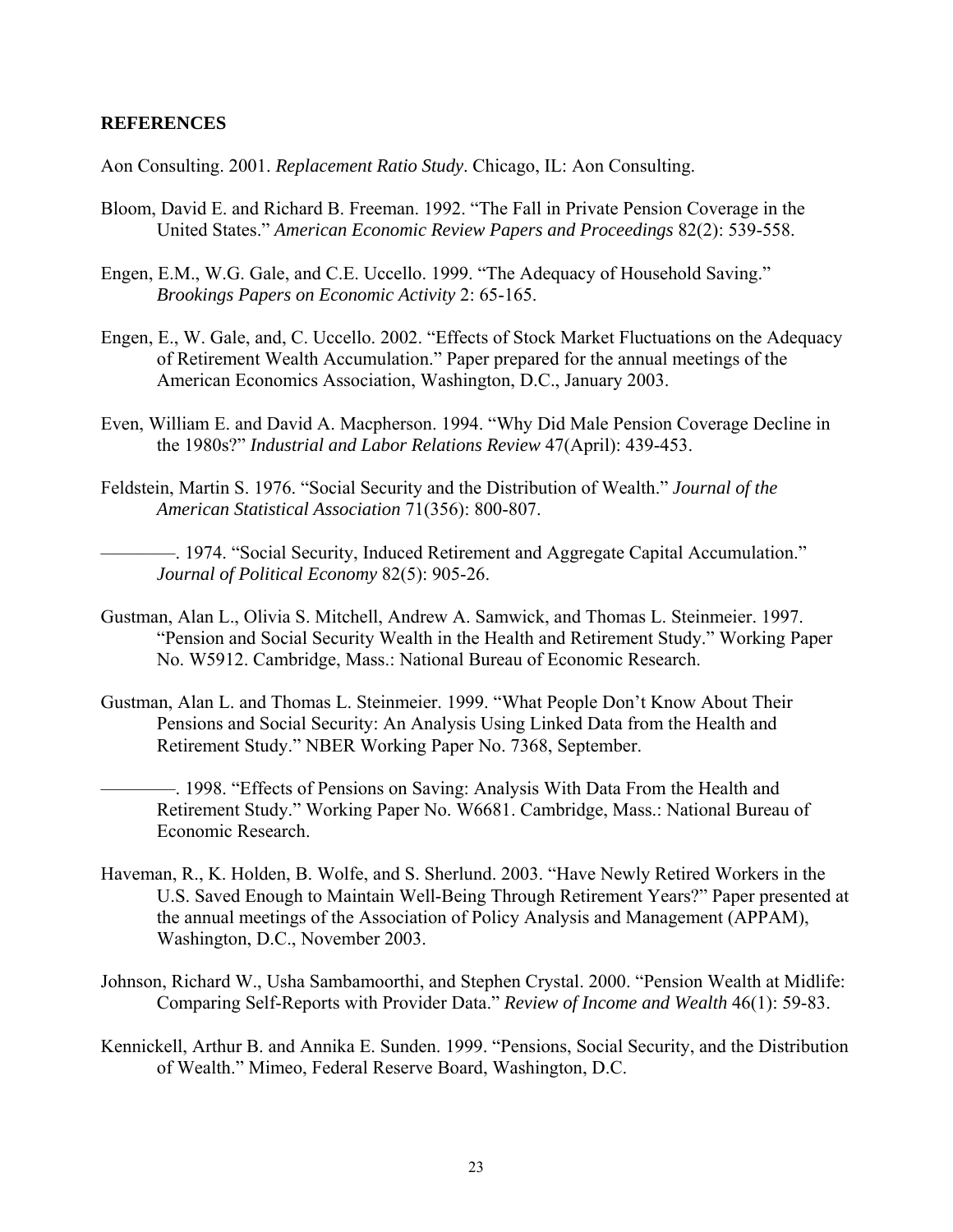#### **REFERENCES**

Aon Consulting. 2001. *Replacement Ratio Study*. Chicago, IL: Aon Consulting.

- Bloom, David E. and Richard B. Freeman. 1992. "The Fall in Private Pension Coverage in the United States." *American Economic Review Papers and Proceedings* 82(2): 539-558.
- Engen, E.M., W.G. Gale, and C.E. Uccello. 1999. "The Adequacy of Household Saving." *Brookings Papers on Economic Activity* 2: 65-165.
- Engen, E., W. Gale, and, C. Uccello. 2002. "Effects of Stock Market Fluctuations on the Adequacy of Retirement Wealth Accumulation." Paper prepared for the annual meetings of the American Economics Association, Washington, D.C., January 2003.
- Even, William E. and David A. Macpherson. 1994. "Why Did Male Pension Coverage Decline in the 1980s?" *Industrial and Labor Relations Review* 47(April): 439-453.
- Feldstein, Martin S. 1976. "Social Security and the Distribution of Wealth." *Journal of the American Statistical Association* 71(356): 800-807.
	- ————. 1974. "Social Security, Induced Retirement and Aggregate Capital Accumulation." *Journal of Political Economy* 82(5): 905-26.
- Gustman, Alan L., Olivia S. Mitchell, Andrew A. Samwick, and Thomas L. Steinmeier. 1997. "Pension and Social Security Wealth in the Health and Retirement Study." Working Paper No. W5912. Cambridge, Mass.: National Bureau of Economic Research.
- Gustman, Alan L. and Thomas L. Steinmeier. 1999. "What People Don't Know About Their Pensions and Social Security: An Analysis Using Linked Data from the Health and Retirement Study." NBER Working Paper No. 7368, September.
	- ————. 1998. "Effects of Pensions on Saving: Analysis With Data From the Health and Retirement Study." Working Paper No. W6681. Cambridge, Mass.: National Bureau of Economic Research.
- Haveman, R., K. Holden, B. Wolfe, and S. Sherlund. 2003. "Have Newly Retired Workers in the U.S. Saved Enough to Maintain Well-Being Through Retirement Years?" Paper presented at the annual meetings of the Association of Policy Analysis and Management (APPAM), Washington, D.C., November 2003.
- Johnson, Richard W., Usha Sambamoorthi, and Stephen Crystal. 2000. "Pension Wealth at Midlife: Comparing Self-Reports with Provider Data." *Review of Income and Wealth* 46(1): 59-83.
- Kennickell, Arthur B. and Annika E. Sunden. 1999. "Pensions, Social Security, and the Distribution of Wealth." Mimeo, Federal Reserve Board, Washington, D.C.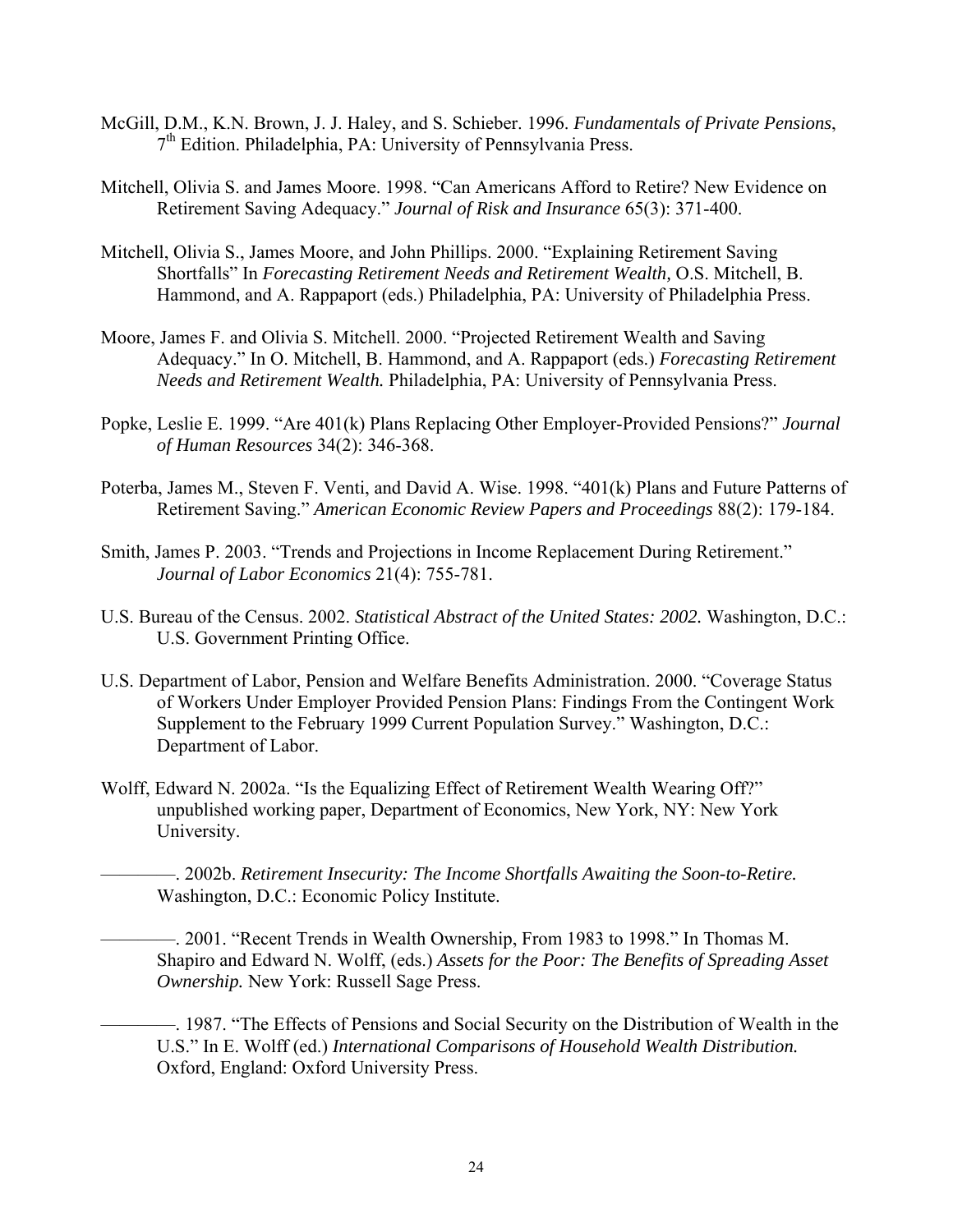- McGill, D.M., K.N. Brown, J. J. Haley, and S. Schieber. 1996. *Fundamentals of Private Pensions*, 7th Edition. Philadelphia, PA: University of Pennsylvania Press.
- Mitchell, Olivia S. and James Moore. 1998. "Can Americans Afford to Retire? New Evidence on Retirement Saving Adequacy." *Journal of Risk and Insurance* 65(3): 371-400.
- Mitchell, Olivia S., James Moore, and John Phillips. 2000. "Explaining Retirement Saving Shortfalls" In *Forecasting Retirement Needs and Retirement Wealth,* O.S. Mitchell, B. Hammond, and A. Rappaport (eds.) Philadelphia, PA: University of Philadelphia Press.
- Moore, James F. and Olivia S. Mitchell. 2000. "Projected Retirement Wealth and Saving Adequacy." In O. Mitchell, B. Hammond, and A. Rappaport (eds.) *Forecasting Retirement Needs and Retirement Wealth.* Philadelphia, PA: University of Pennsylvania Press.
- Popke, Leslie E. 1999. "Are 401(k) Plans Replacing Other Employer-Provided Pensions?" *Journal of Human Resources* 34(2): 346-368.
- Poterba, James M., Steven F. Venti, and David A. Wise. 1998. "401(k) Plans and Future Patterns of Retirement Saving." *American Economic Review Papers and Proceedings* 88(2): 179-184.
- Smith, James P. 2003. "Trends and Projections in Income Replacement During Retirement." *Journal of Labor Economics* 21(4): 755-781.
- U.S. Bureau of the Census. 2002. *Statistical Abstract of the United States: 2002.* Washington, D.C.: U.S. Government Printing Office.
- U.S. Department of Labor, Pension and Welfare Benefits Administration. 2000. "Coverage Status of Workers Under Employer Provided Pension Plans: Findings From the Contingent Work Supplement to the February 1999 Current Population Survey." Washington, D.C.: Department of Labor.
- Wolff, Edward N. 2002a. "Is the Equalizing Effect of Retirement Wealth Wearing Off?" unpublished working paper, Department of Economics, New York, NY: New York University.

————. 2002b. *Retirement Insecurity: The Income Shortfalls Awaiting the Soon-to-Retire.* Washington, D.C.: Economic Policy Institute.

————. 2001. "Recent Trends in Wealth Ownership, From 1983 to 1998." In Thomas M. Shapiro and Edward N. Wolff, (eds.) *Assets for the Poor: The Benefits of Spreading Asset Ownership.* New York: Russell Sage Press.

————. 1987. "The Effects of Pensions and Social Security on the Distribution of Wealth in the U.S." In E. Wolff (ed.) *International Comparisons of Household Wealth Distribution.*  Oxford, England: Oxford University Press.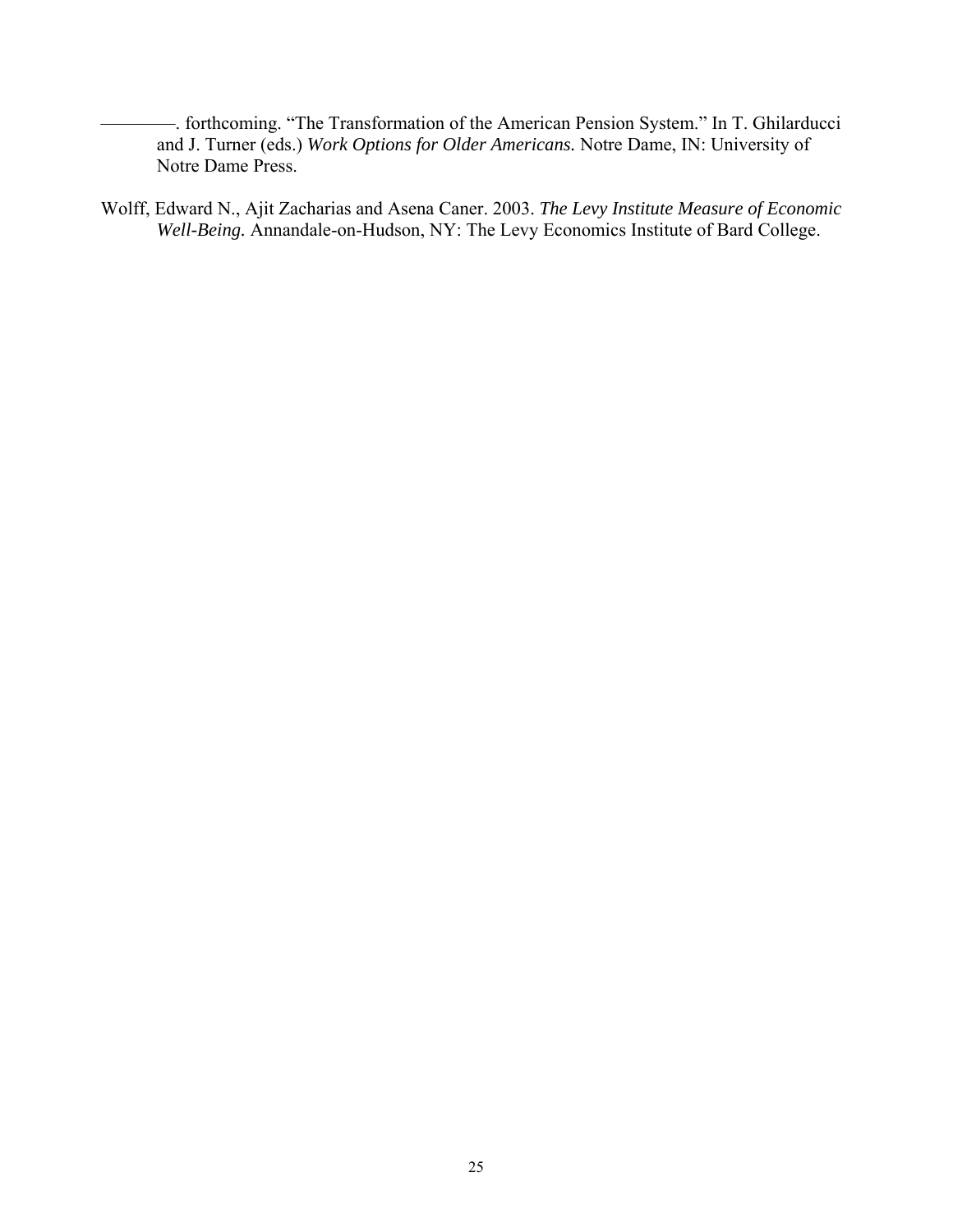- ————. forthcoming. "The Transformation of the American Pension System." In T. Ghilarducci and J. Turner (eds.) *Work Options for Older Americans.* Notre Dame, IN: University of Notre Dame Press.
- Wolff, Edward N., Ajit Zacharias and Asena Caner. 2003. *The Levy Institute Measure of Economic Well-Being.* Annandale-on-Hudson, NY: The Levy Economics Institute of Bard College.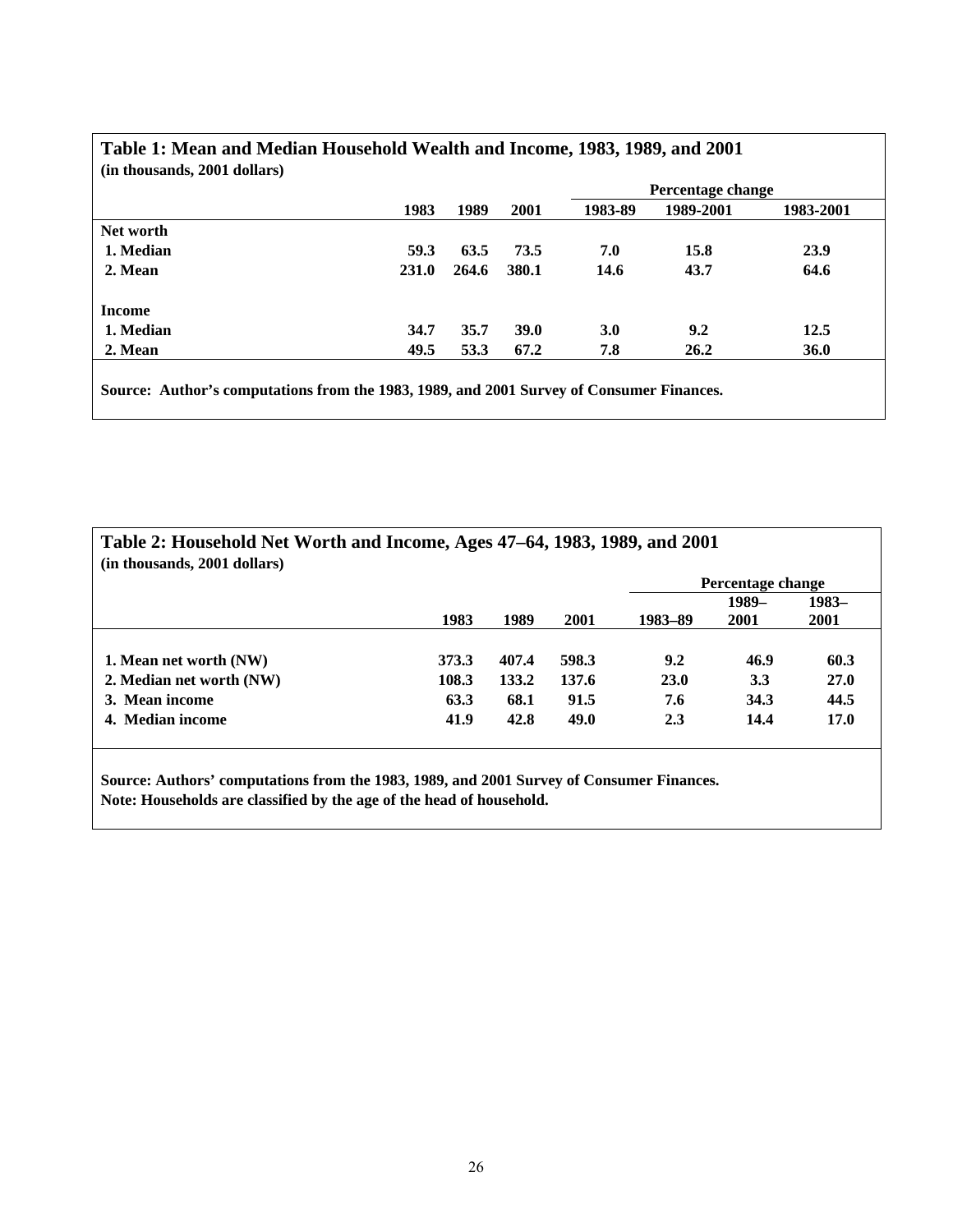|               |       |       |             | Percentage change |           |           |  |  |  |
|---------------|-------|-------|-------------|-------------------|-----------|-----------|--|--|--|
|               | 1983  | 1989  | 2001        | 1983-89           | 1989-2001 | 1983-2001 |  |  |  |
| Net worth     |       |       |             |                   |           |           |  |  |  |
| 1. Median     | 59.3  | 63.5  | 73.5        | 7.0               | 15.8      | 23.9      |  |  |  |
| 2. Mean       | 231.0 | 264.6 | 380.1       | 14.6              | 43.7      | 64.6      |  |  |  |
| <b>Income</b> |       |       |             |                   |           |           |  |  |  |
| 1. Median     | 34.7  | 35.7  | <b>39.0</b> | 3.0               | 9.2       | 12.5      |  |  |  |
| 2. Mean       | 49.5  | 53.3  | 67.2        | 7.8               | 26.2      | 36.0      |  |  |  |

## **Table 1: Mean and Median Household Wealth and Income, 1983, 1989, and 2001**

**Source: Author's computations from the 1983, 1989, and 2001 Survey of Consumer Finances.** 

| Table 2: Household Net Worth and Income, Ages 47–64, 1983, 1989, and 2001<br>(in thousands, 2001 dollars) |       |       |       |         |                   |       |  |  |  |  |
|-----------------------------------------------------------------------------------------------------------|-------|-------|-------|---------|-------------------|-------|--|--|--|--|
|                                                                                                           |       |       |       |         | Percentage change |       |  |  |  |  |
|                                                                                                           |       |       |       |         | 1989-             | 1983- |  |  |  |  |
|                                                                                                           | 1983  | 1989  | 2001  | 1983-89 | 2001              | 2001  |  |  |  |  |
|                                                                                                           |       |       |       |         |                   |       |  |  |  |  |
| 1. Mean net worth (NW)                                                                                    | 373.3 | 407.4 | 598.3 | 9.2     | 46.9              | 60.3  |  |  |  |  |
| 2. Median net worth (NW)                                                                                  | 108.3 | 133.2 | 137.6 | 23.0    | 3.3               | 27.0  |  |  |  |  |
| 3. Mean income                                                                                            | 63.3  | 68.1  | 91.5  | 7.6     | 34.3              | 44.5  |  |  |  |  |
| 4. Median income                                                                                          | 41.9  | 42.8  | 49.0  | 2.3     | 14.4              | 17.0  |  |  |  |  |
|                                                                                                           |       |       |       |         |                   |       |  |  |  |  |
|                                                                                                           |       |       |       |         |                   |       |  |  |  |  |

**Source: Authors' computations from the 1983, 1989, and 2001 Survey of Consumer Finances. Note: Households are classified by the age of the head of household.**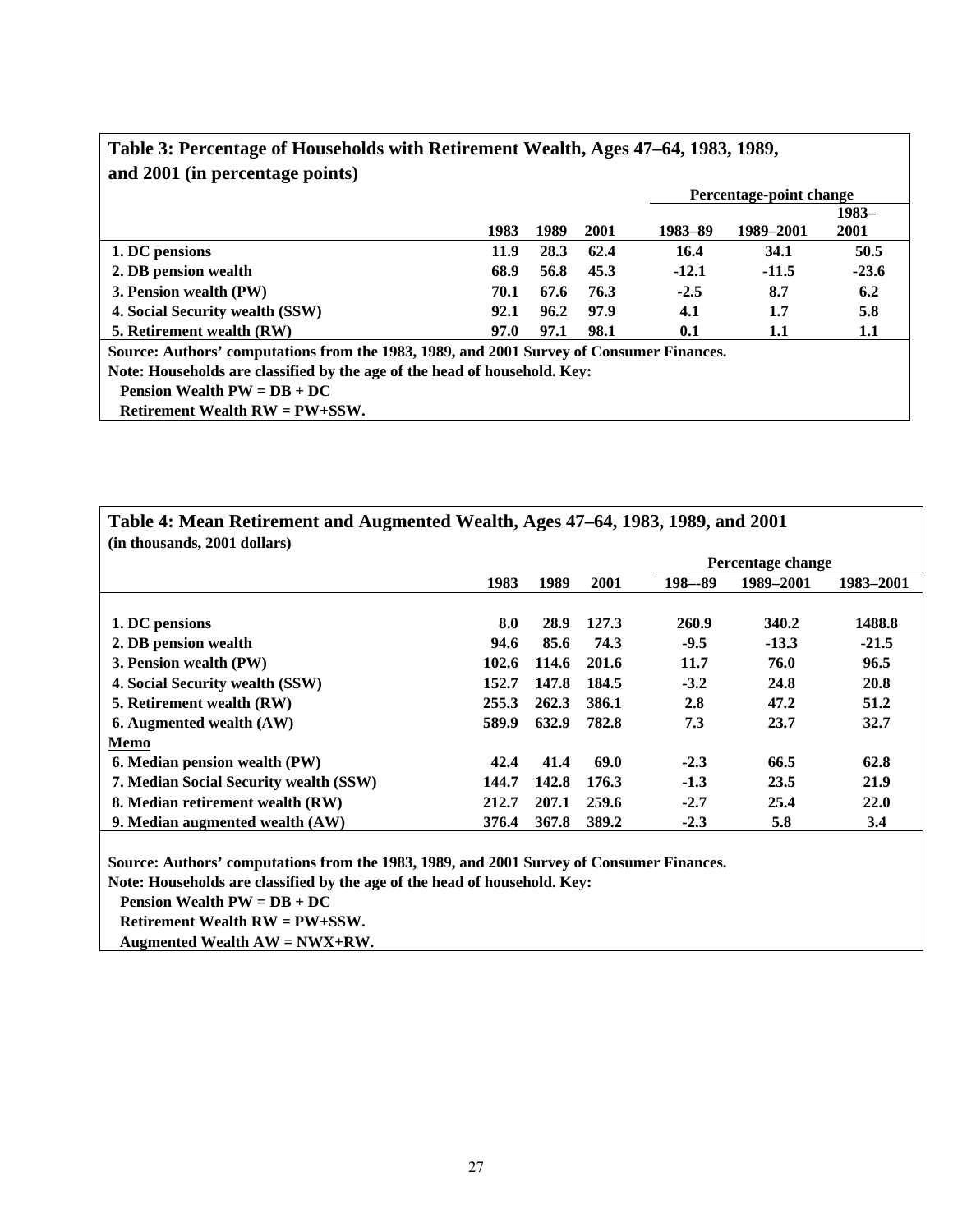| and 2001 (in percentage points)                                                          |      |      |      |         |                         |         |
|------------------------------------------------------------------------------------------|------|------|------|---------|-------------------------|---------|
|                                                                                          |      |      |      |         | Percentage-point change |         |
|                                                                                          |      |      |      |         |                         | 1983-   |
|                                                                                          | 1983 | 1989 | 2001 | 1983-89 | 1989-2001               | 2001    |
| 1. DC pensions                                                                           | 11.9 | 28.3 | 62.4 | 16.4    | 34.1                    | 50.5    |
| 2. DB pension wealth                                                                     | 68.9 | 56.8 | 45.3 | $-12.1$ | $-11.5$                 | $-23.6$ |
| 3. Pension wealth (PW)                                                                   | 70.1 | 67.6 | 76.3 | $-2.5$  | 8.7                     | 6.2     |
| 4. Social Security wealth (SSW)                                                          | 92.1 | 96.2 | 97.9 | 4.1     | 1.7                     | 5.8     |
| 5. Retirement wealth (RW)                                                                | 97.0 | 97.1 | 98.1 | 0.1     | 1.1                     | 1.1     |
| Source: Authors' computations from the 1983, 1989, and 2001 Survey of Consumer Finances. |      |      |      |         |                         |         |
| Note: Households are classified by the age of the head of household. Key:                |      |      |      |         |                         |         |
| Pension Wealth $PW = DB + DC$                                                            |      |      |      |         |                         |         |
| Retirement Wealth $RW = PW + SSW$ .                                                      |      |      |      |         |                         |         |

## **Table 3: Percentage of Households with Retirement Wealth, Ages 47–64, 1983, 1989, and 2001 (in percentage points)**

| Table 4: Mean Retirement and Augmented Wealth, Ages 47–64, 1983, 1989, and 2001<br>(in thousands, 2001 dollars) |       |       |       |            |                   |           |  |  |  |  |  |
|-----------------------------------------------------------------------------------------------------------------|-------|-------|-------|------------|-------------------|-----------|--|--|--|--|--|
|                                                                                                                 |       |       |       |            | Percentage change |           |  |  |  |  |  |
|                                                                                                                 | 1983  | 1989  | 2001  | $198 - 89$ | 1989-2001         | 1983-2001 |  |  |  |  |  |
|                                                                                                                 |       |       |       |            |                   |           |  |  |  |  |  |
| 1. DC pensions                                                                                                  | 8.0   | 28.9  | 127.3 | 260.9      | 340.2             | 1488.8    |  |  |  |  |  |
| 2. DB pension wealth                                                                                            | 94.6  | 85.6  | 74.3  | $-9.5$     | $-13.3$           | $-21.5$   |  |  |  |  |  |
| 3. Pension wealth (PW)                                                                                          | 102.6 | 114.6 | 201.6 | 11.7       | 76.0              | 96.5      |  |  |  |  |  |
| 4. Social Security wealth (SSW)                                                                                 | 152.7 | 147.8 | 184.5 | $-3.2$     | 24.8              | 20.8      |  |  |  |  |  |
| 5. Retirement wealth (RW)                                                                                       | 255.3 | 262.3 | 386.1 | 2.8        | 47.2              | 51.2      |  |  |  |  |  |
| 6. Augmented wealth (AW)                                                                                        | 589.9 | 632.9 | 782.8 | 7.3        | 23.7              | 32.7      |  |  |  |  |  |
| Memo                                                                                                            |       |       |       |            |                   |           |  |  |  |  |  |
| 6. Median pension wealth (PW)                                                                                   | 42.4  | 41.4  | 69.0  | $-2.3$     | 66.5              | 62.8      |  |  |  |  |  |
| 7. Median Social Security wealth (SSW)                                                                          | 144.7 | 142.8 | 176.3 | $-1.3$     | 23.5              | 21.9      |  |  |  |  |  |
| 8. Median retirement wealth (RW)                                                                                | 212.7 | 207.1 | 259.6 | $-2.7$     | 25.4              | 22.0      |  |  |  |  |  |
| 9. Median augmented wealth (AW)                                                                                 | 376.4 | 367.8 | 389.2 | $-2.3$     | 5.8               | 3.4       |  |  |  |  |  |

**Source: Authors' computations from the 1983, 1989, and 2001 Survey of Consumer Finances.** 

**Note: Households are classified by the age of the head of household. Key:** 

 **Pension Wealth PW = DB + DC** 

Г

 **Retirement Wealth RW = PW+SSW.** 

 **Augmented Wealth AW = NWX+RW.**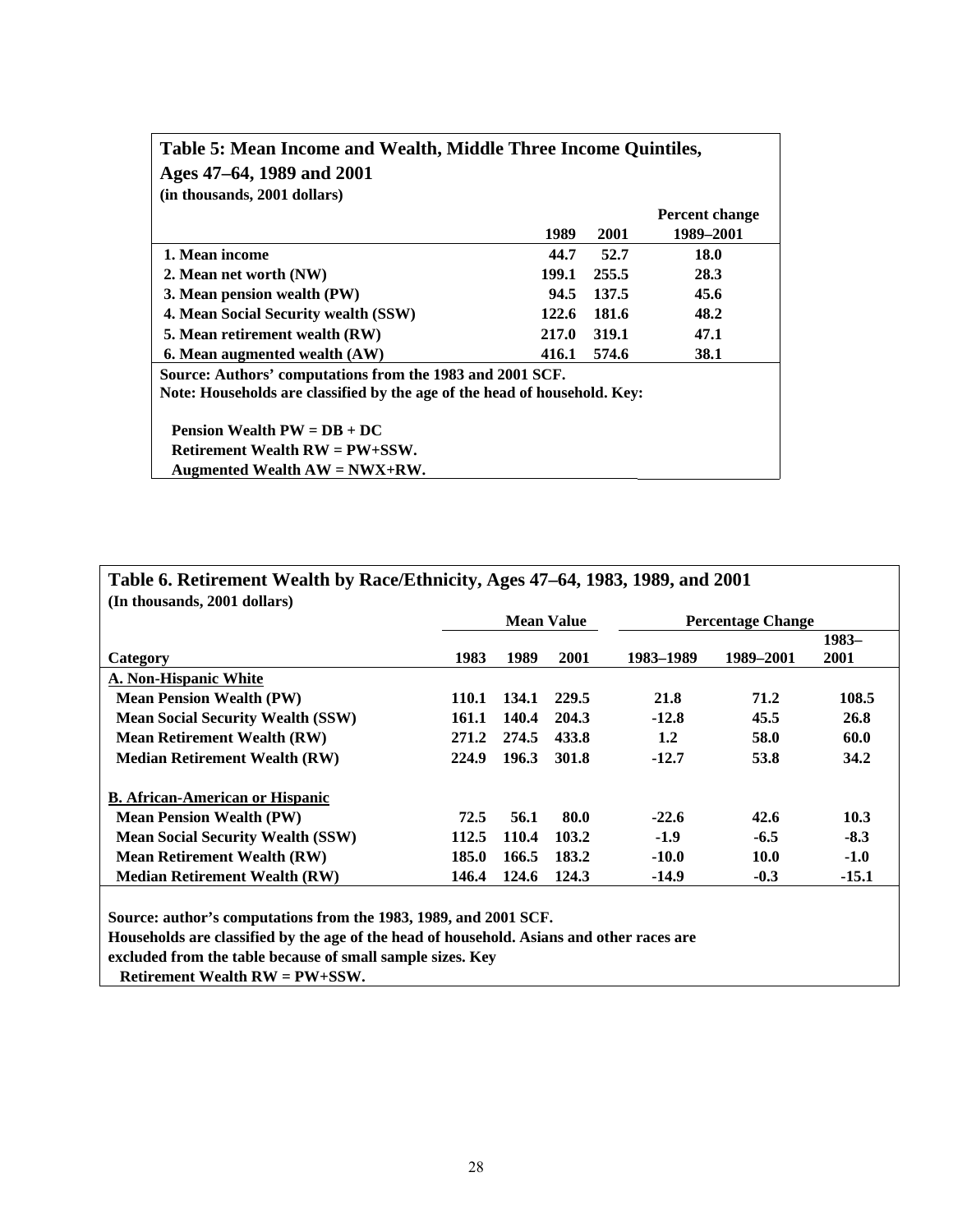| (in thousands, 2001 dollars)                                                                                                           | 1989  | 2001  | <b>Percent change</b><br>1989–2001 |
|----------------------------------------------------------------------------------------------------------------------------------------|-------|-------|------------------------------------|
| 1. Mean income                                                                                                                         | 44.7  | 52.7  | 18.0                               |
| 2. Mean net worth (NW)                                                                                                                 | 199.1 | 255.5 | 28.3                               |
| 3. Mean pension wealth (PW)                                                                                                            | 94.5  | 137.5 | 45.6                               |
| 4. Mean Social Security wealth (SSW)                                                                                                   | 122.6 | 181.6 | 48.2                               |
| 5. Mean retirement wealth (RW)                                                                                                         | 217.0 | 319.1 | 47.1                               |
| 6. Mean augmented wealth (AW)                                                                                                          | 416.1 | 574.6 | 38.1                               |
| Source: Authors' computations from the 1983 and 2001 SCF.<br>Note: Households are classified by the age of the head of household. Key: |       |       |                                    |
| Pension Wealth $PW = DB + DC$                                                                                                          |       |       |                                    |
| Retirement Wealth $RW = PW + SSW$ .                                                                                                    |       |       |                                    |
| Augmented Wealth $AW = NWX + RW$ .                                                                                                     |       |       |                                    |

| (In thousands, 2001 dollars)             |       |       | <b>Mean Value</b> |           | <b>Percentage Change</b> |         |
|------------------------------------------|-------|-------|-------------------|-----------|--------------------------|---------|
|                                          |       |       |                   |           |                          | $1983-$ |
| Category                                 | 1983  | 1989  | 2001              | 1983–1989 | 1989–2001                | 2001    |
| A. Non-Hispanic White                    |       |       |                   |           |                          |         |
| <b>Mean Pension Wealth (PW)</b>          | 110.1 | 134.1 | 229.5             | 21.8      | 71.2                     | 108.5   |
| <b>Mean Social Security Wealth (SSW)</b> | 161.1 | 140.4 | 204.3             | $-12.8$   | 45.5                     | 26.8    |
| <b>Mean Retirement Wealth (RW)</b>       | 271.2 | 274.5 | 433.8             | 1.2       | 58.0                     | 60.0    |
| <b>Median Retirement Wealth (RW)</b>     | 224.9 | 196.3 | 301.8             | $-12.7$   | 53.8                     | 34.2    |
| <b>B.</b> African-American or Hispanic   |       |       |                   |           |                          |         |
| <b>Mean Pension Wealth (PW)</b>          | 72.5  | 56.1  | 80.0              | $-22.6$   | 42.6                     | 10.3    |
| <b>Mean Social Security Wealth (SSW)</b> | 112.5 | 110.4 | 103.2             | $-1.9$    | $-6.5$                   | $-8.3$  |
| <b>Mean Retirement Wealth (RW)</b>       | 185.0 | 166.5 | 183.2             | $-10.0$   | <b>10.0</b>              | $-1.0$  |
| <b>Median Retirement Wealth (RW)</b>     | 146.4 | 124.6 | 124.3             | $-14.9$   | $-0.3$                   | $-15.1$ |

**Source: author's computations from the 1983, 1989, and 2001 SCF.** 

**Households are classified by the age of the head of household. Asians and other races are** 

**excluded from the table because of small sample sizes. Key** 

 **Retirement Wealth RW = PW+SSW.**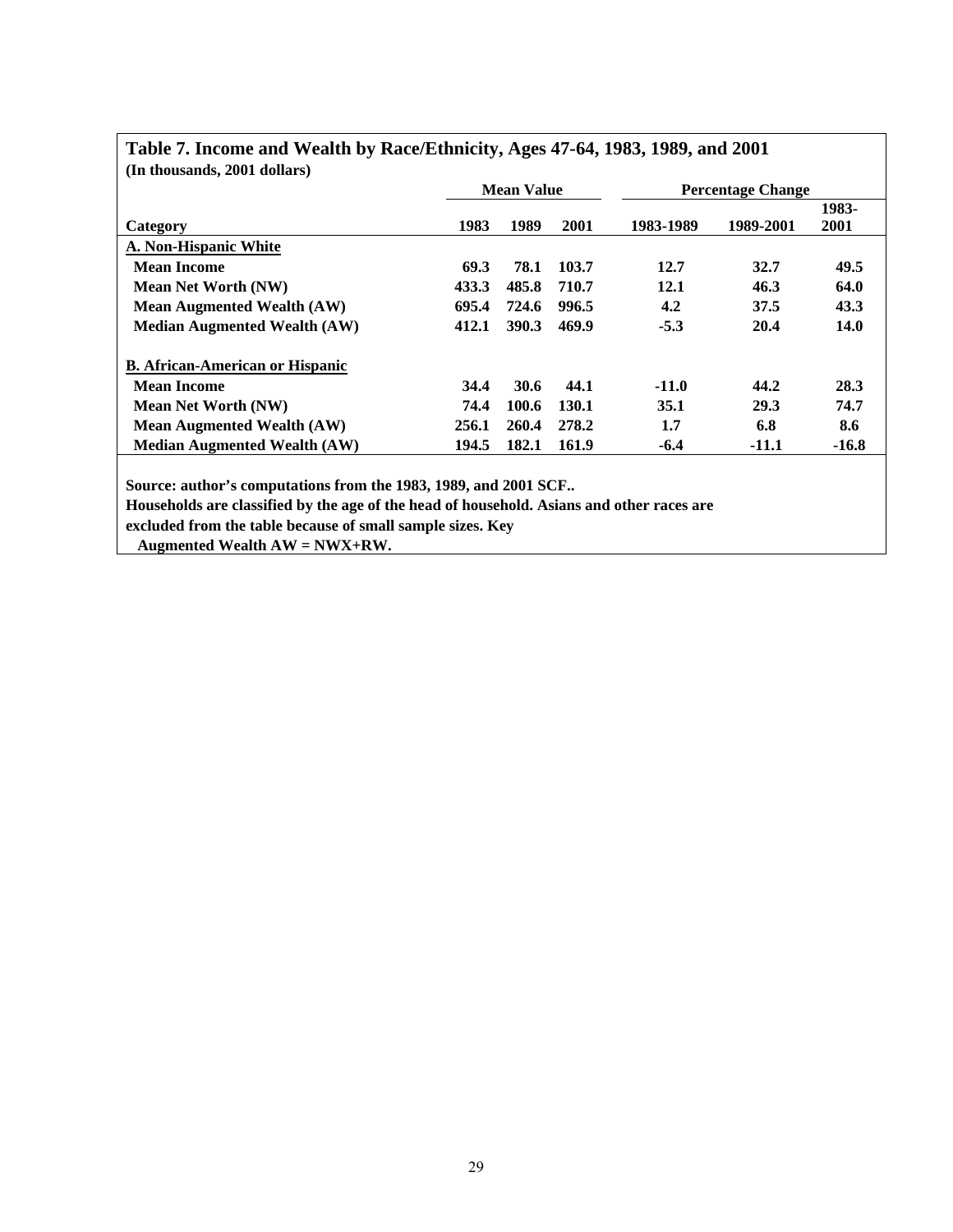| (In thousands, 2001 dollars)                                                              |       |                   |       |           |                          |         |
|-------------------------------------------------------------------------------------------|-------|-------------------|-------|-----------|--------------------------|---------|
|                                                                                           |       | <b>Mean Value</b> |       |           | <b>Percentage Change</b> |         |
|                                                                                           |       |                   |       |           |                          | 1983-   |
| Category                                                                                  | 1983  | 1989              | 2001  | 1983-1989 | 1989-2001                | 2001    |
| A. Non-Hispanic White                                                                     |       |                   |       |           |                          |         |
| <b>Mean Income</b>                                                                        | 69.3  | 78.1              | 103.7 | 12.7      | 32.7                     | 49.5    |
| <b>Mean Net Worth (NW)</b>                                                                | 433.3 | 485.8             | 710.7 | 12.1      | 46.3                     | 64.0    |
| <b>Mean Augmented Wealth (AW)</b>                                                         | 695.4 | 724.6             | 996.5 | 4.2       | 37.5                     | 43.3    |
| <b>Median Augmented Wealth (AW)</b>                                                       | 412.1 | 390.3             | 469.9 | $-5.3$    | 20.4                     | 14.0    |
| <b>B.</b> African-American or Hispanic                                                    |       |                   |       |           |                          |         |
| <b>Mean Income</b>                                                                        | 34.4  | 30.6              | 44.1  | $-11.0$   | 44.2                     | 28.3    |
| <b>Mean Net Worth (NW)</b>                                                                | 74.4  | 100.6             | 130.1 | 35.1      | 29.3                     | 74.7    |
| <b>Mean Augmented Wealth (AW)</b>                                                         | 256.1 | 260.4             | 278.2 | 1.7       | 6.8                      | 8.6     |
| <b>Median Augmented Wealth (AW)</b>                                                       | 194.5 | 182.1             | 161.9 | $-6.4$    | -11.1                    | $-16.8$ |
|                                                                                           |       |                   |       |           |                          |         |
| Source: author's computations from the 1983, 1989, and 2001 SCF                           |       |                   |       |           |                          |         |
| Households are classified by the age of the head of household. Asians and other races are |       |                   |       |           |                          |         |
| excluded from the table because of small sample sizes. Key                                |       |                   |       |           |                          |         |

# **Table 7. Income and Wealth by Race/Ethnicity, Ages 47-64, 1983, 1989, and 2001**

 **Augmented Wealth AW = NWX+RW.**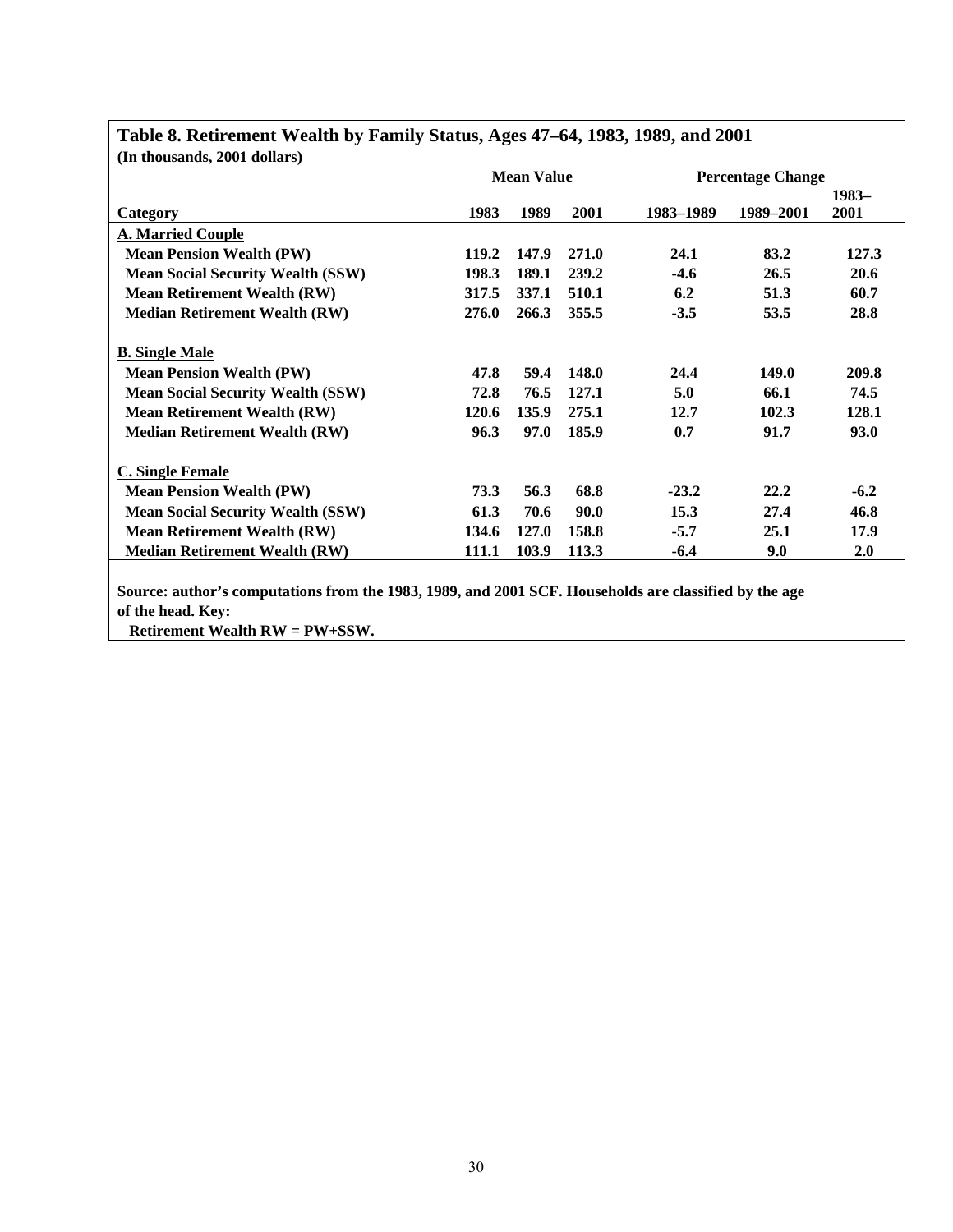| (In thousands, 2001 dollars)             |       |                   |       |           |                          |         |
|------------------------------------------|-------|-------------------|-------|-----------|--------------------------|---------|
|                                          |       | <b>Mean Value</b> |       |           | <b>Percentage Change</b> |         |
|                                          |       |                   |       |           |                          | $1983-$ |
| Category                                 | 1983  | 1989              | 2001  | 1983–1989 | 1989-2001                | 2001    |
| <b>A. Married Couple</b>                 |       |                   |       |           |                          |         |
| <b>Mean Pension Wealth (PW)</b>          | 119.2 | 147.9             | 271.0 | 24.1      | 83.2                     | 127.3   |
| <b>Mean Social Security Wealth (SSW)</b> | 198.3 | 189.1             | 239.2 | $-4.6$    | 26.5                     | 20.6    |
| <b>Mean Retirement Wealth (RW)</b>       | 317.5 | 337.1             | 510.1 | 6.2       | 51.3                     | 60.7    |
| <b>Median Retirement Wealth (RW)</b>     | 276.0 | 266.3             | 355.5 | $-3.5$    | 53.5                     | 28.8    |
| <b>B.</b> Single Male                    |       |                   |       |           |                          |         |
| <b>Mean Pension Wealth (PW)</b>          | 47.8  | 59.4              | 148.0 | 24.4      | 149.0                    | 209.8   |
| <b>Mean Social Security Wealth (SSW)</b> | 72.8  | 76.5              | 127.1 | 5.0       | 66.1                     | 74.5    |
| <b>Mean Retirement Wealth (RW)</b>       | 120.6 | 135.9             | 275.1 | 12.7      | 102.3                    | 128.1   |
| <b>Median Retirement Wealth (RW)</b>     | 96.3  | 97.0              | 185.9 | 0.7       | 91.7                     | 93.0    |
| <b>C. Single Female</b>                  |       |                   |       |           |                          |         |
| <b>Mean Pension Wealth (PW)</b>          | 73.3  | 56.3              | 68.8  | $-23.2$   | 22.2                     | $-6.2$  |
| <b>Mean Social Security Wealth (SSW)</b> | 61.3  | 70.6              | 90.0  | 15.3      | 27.4                     | 46.8    |
| <b>Mean Retirement Wealth (RW)</b>       | 134.6 | 127.0             | 158.8 | $-5.7$    | 25.1                     | 17.9    |
| <b>Median Retirement Wealth (RW)</b>     | 111.1 | 103.9             | 113.3 | $-6.4$    | 9.0                      | 2.0     |
|                                          |       |                   |       |           |                          |         |

## **Table 8. Retirement Wealth by Family Status, Ages 47–64, 1983, 1989, and 2001**

**Source: author's computations from the 1983, 1989, and 2001 SCF. Households are classified by the age of the head. Key:** 

 **Retirement Wealth RW = PW+SSW.**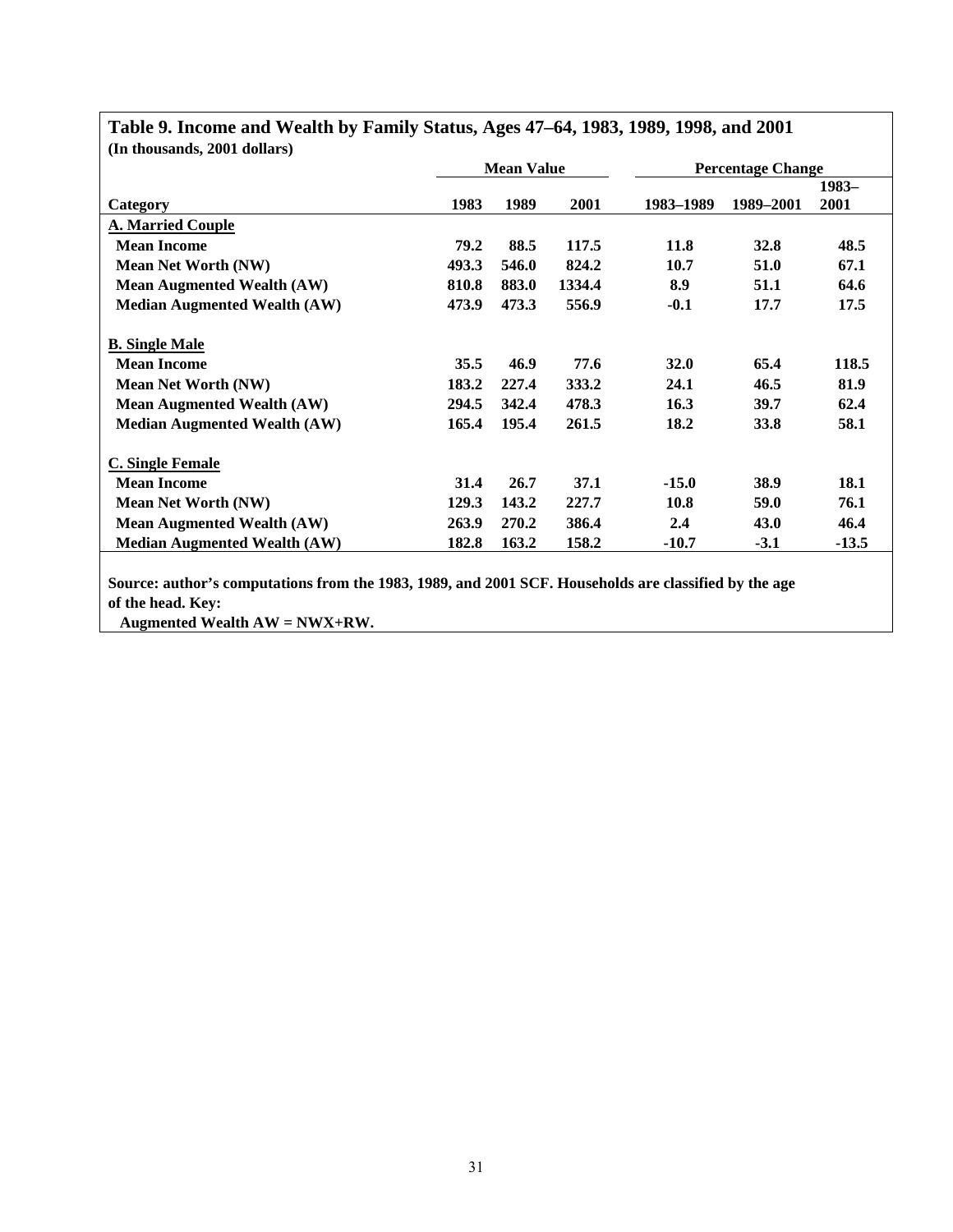| (In thousands, 2001 dollars)        |       |                   |        |                  |                          |         |
|-------------------------------------|-------|-------------------|--------|------------------|--------------------------|---------|
|                                     |       | <b>Mean Value</b> |        |                  | <b>Percentage Change</b> |         |
|                                     |       |                   |        |                  |                          | 1983-   |
| Category                            | 1983  | 1989              | 2001   | 1983–1989        | 1989–2001                | 2001    |
| <b>A. Married Couple</b>            |       |                   |        |                  |                          |         |
| <b>Mean Income</b>                  | 79.2  | 88.5              | 117.5  | 11.8             | <b>32.8</b>              | 48.5    |
| <b>Mean Net Worth (NW)</b>          | 493.3 | 546.0             | 824.2  | 10.7             | 51.0                     | 67.1    |
| <b>Mean Augmented Wealth (AW)</b>   | 810.8 | 883.0             | 1334.4 | 8.9              | 51.1                     | 64.6    |
| <b>Median Augmented Wealth (AW)</b> | 473.9 | 473.3             | 556.9  | $-0.1$           | 17.7                     | 17.5    |
| <b>B.</b> Single Male               |       |                   |        |                  |                          |         |
| <b>Mean Income</b>                  | 35.5  | 46.9              | 77.6   | <b>32.0</b>      | 65.4                     | 118.5   |
| <b>Mean Net Worth (NW)</b>          | 183.2 | 227.4             | 333.2  | 24.1             | 46.5                     | 81.9    |
| <b>Mean Augmented Wealth (AW)</b>   | 294.5 | 342.4             | 478.3  | 16.3             | 39.7                     | 62.4    |
| <b>Median Augmented Wealth (AW)</b> | 165.4 | 195.4             | 261.5  | 18.2             | 33.8                     | 58.1    |
| <b>C. Single Female</b>             |       |                   |        |                  |                          |         |
| <b>Mean Income</b>                  | 31.4  | 26.7              | 37.1   | $-15.0$          | 38.9                     | 18.1    |
| <b>Mean Net Worth (NW)</b>          | 129.3 | 143.2             | 227.7  | 10.8             | 59.0                     | 76.1    |
| <b>Mean Augmented Wealth (AW)</b>   | 263.9 | 270.2             | 386.4  | $2.4\phantom{0}$ | 43.0                     | 46.4    |
| <b>Median Augmented Wealth (AW)</b> | 182.8 | 163.2             | 158.2  | $-10.7$          | $-3.1$                   | $-13.5$ |
|                                     |       |                   |        |                  |                          |         |

### **Table 9. Income and Wealth by Family Status, Ages 47–64, 1983, 1989, 1998, and 2001 (In thousands, 2001 dollars)**

**Source: author's computations from the 1983, 1989, and 2001 SCF. Households are classified by the age of the head. Key:** 

 **Augmented Wealth AW = NWX+RW.**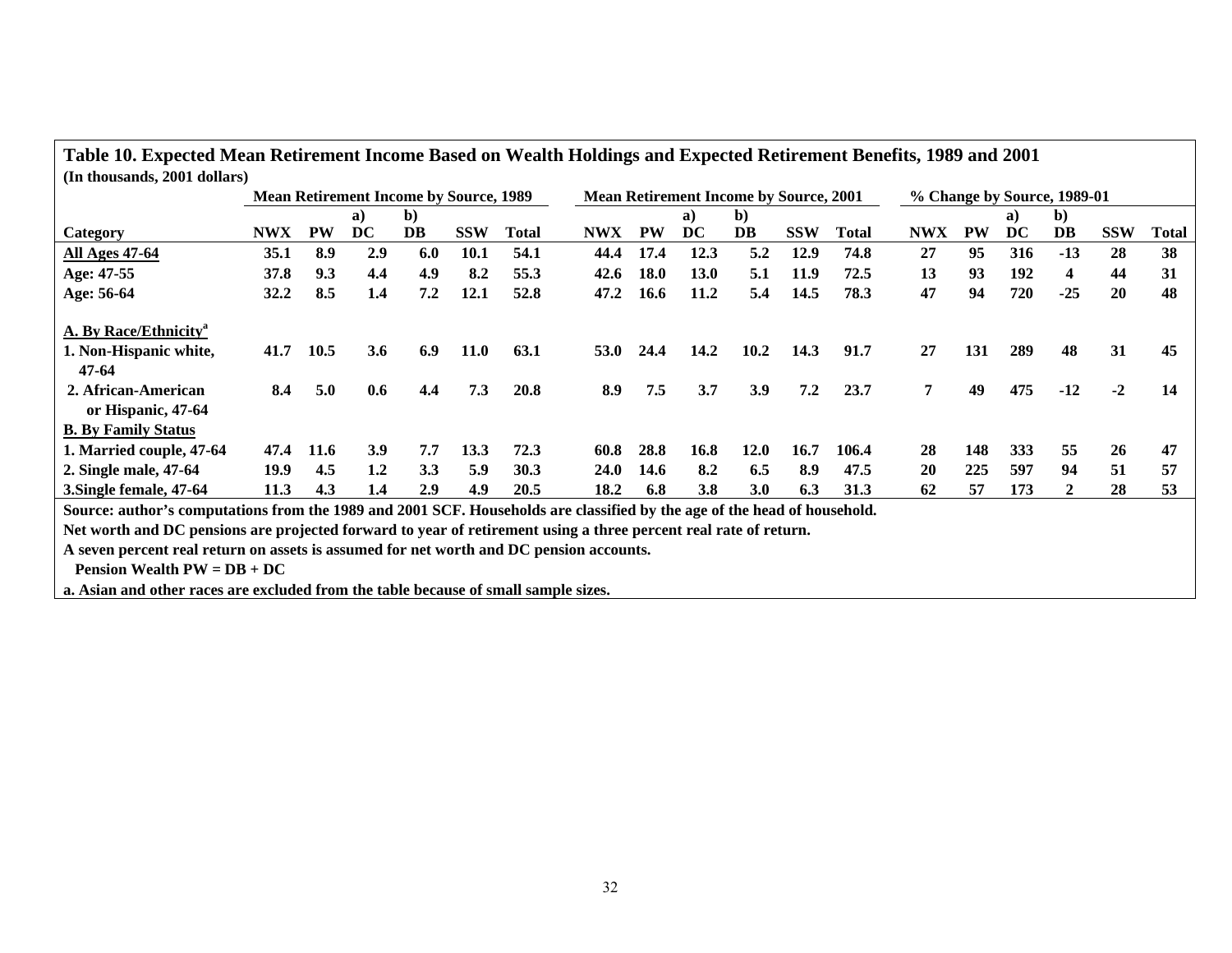|                                                                                                                          | Table 10. Expected Mean Retirement Income Based on Wealth Holdings and Expected Retirement Benefits, 1989 and 2001 |           |            |                                               |             |              |             |                                               |             |      |            |              |                             |           |     |                         |            |              |
|--------------------------------------------------------------------------------------------------------------------------|--------------------------------------------------------------------------------------------------------------------|-----------|------------|-----------------------------------------------|-------------|--------------|-------------|-----------------------------------------------|-------------|------|------------|--------------|-----------------------------|-----------|-----|-------------------------|------------|--------------|
| (In thousands, 2001 dollars)                                                                                             |                                                                                                                    |           |            |                                               |             |              |             |                                               |             |      |            |              |                             |           |     |                         |            |              |
|                                                                                                                          |                                                                                                                    |           |            | <b>Mean Retirement Income by Source, 1989</b> |             |              |             | <b>Mean Retirement Income by Source, 2001</b> |             |      |            |              | % Change by Source, 1989-01 |           |     |                         |            |              |
|                                                                                                                          |                                                                                                                    |           | a)         | b)                                            |             |              |             |                                               | a)          | b)   |            |              |                             |           | a   | $\mathbf{b}$            |            |              |
| <b>Category</b>                                                                                                          | <b>NWX</b>                                                                                                         | <b>PW</b> | DC.        | DB                                            | <b>SSW</b>  | <b>Total</b> | <b>NWX</b>  | <b>PW</b>                                     | DC          | DB   | <b>SSW</b> | <b>Total</b> | <b>NWX</b>                  | <b>PW</b> | DC  | DB                      | <b>SSW</b> | <b>Total</b> |
| <b>All Ages 47-64</b>                                                                                                    | 35.1                                                                                                               | 8.9       | 2.9        | 6.0                                           | <b>10.1</b> | 54.1         | 44.4        | 17.4                                          | 12.3        | 5.2  | 12.9       | 74.8         | 27                          | 95        | 316 | $-13$                   | 28         | 38           |
| Age: 47-55                                                                                                               | 37.8                                                                                                               | 9.3       | 4.4        | 4.9                                           | 8.2         | 55.3         | 42.6        | <b>18.0</b>                                   | <b>13.0</b> | 5.1  | 11.9       | 72.5         | 13                          | 93        | 192 | $\overline{\mathbf{4}}$ | 44         | 31           |
| Age: 56-64                                                                                                               | 32.2                                                                                                               | 8.5       | 1.4        | 7.2                                           | 12.1        | 52.8         | 47.2        | 16.6                                          | 11.2        | 5.4  | 14.5       | 78.3         | 47                          | 94        | 720 | $-25$                   | 20         | 48           |
| A. By Race/Ethnicity <sup>a</sup>                                                                                        |                                                                                                                    |           |            |                                               |             |              |             |                                               |             |      |            |              |                             |           |     |                         |            |              |
| 1. Non-Hispanic white,                                                                                                   | 41.7                                                                                                               | 10.5      | 3.6        | 6.9                                           | <b>11.0</b> | 63.1         | <b>53.0</b> | 24.4                                          | 14.2        | 10.2 | 14.3       | 91.7         | 27                          | 131       | 289 | 48                      | 31         | 45           |
| 47-64                                                                                                                    |                                                                                                                    |           |            |                                               |             |              |             |                                               |             |      |            |              |                             |           |     |                         |            |              |
| 2. African-American                                                                                                      | 8.4                                                                                                                | 5.0       | 0.6        | 4.4                                           | 7.3         | 20.8         | 8.9         | 7.5                                           | 3.7         | 3.9  | 7.2        | 23.7         | 7                           | 49        | 475 | $-12$                   | $-2$       | 14           |
| or Hispanic, 47-64                                                                                                       |                                                                                                                    |           |            |                                               |             |              |             |                                               |             |      |            |              |                             |           |     |                         |            |              |
| <b>B.</b> By Family Status                                                                                               |                                                                                                                    |           |            |                                               |             |              |             |                                               |             |      |            |              |                             |           |     |                         |            |              |
| 1. Married couple, 47-64                                                                                                 | 47.4                                                                                                               | 11.6      | <b>3.9</b> | 7.7                                           | 13.3        | 72.3         | 60.8        | 28.8                                          | 16.8        | 12.0 | 16.7       | 106.4        | 28                          | 148       | 333 | 55                      | 26         | 47           |
| 2. Single male, 47-64                                                                                                    | 19.9                                                                                                               | 4.5       | 1.2        | 3.3                                           | 5.9         | 30.3         | <b>24.0</b> | 14.6                                          | 8.2         | 6.5  | 8.9        | 47.5         | <b>20</b>                   | 225       | 597 | 94                      | 51         | 57           |
| 3. Single female, 47-64                                                                                                  | 11.3                                                                                                               | 4.3       | 1.4        | 2.9                                           | 4.9         | 20.5         | 18.2        | 6.8                                           | 3.8         | 3.0  | 6.3        | 31.3         | 62                          | 57        | 173 | $\overline{2}$          | 28         | 53           |
| Source: author's computations from the 1989 and 2001 SCF. Households are classified by the age of the head of household. |                                                                                                                    |           |            |                                               |             |              |             |                                               |             |      |            |              |                             |           |     |                         |            |              |
| Net worth and DC pensions are projected forward to year of retirement using a three percent real rate of return.         |                                                                                                                    |           |            |                                               |             |              |             |                                               |             |      |            |              |                             |           |     |                         |            |              |
| A seven percent real return on assets is assumed for net worth and DC pension accounts.                                  |                                                                                                                    |           |            |                                               |             |              |             |                                               |             |      |            |              |                             |           |     |                         |            |              |
| <b>Pension Wealth PW = <math>DB + DC</math></b>                                                                          |                                                                                                                    |           |            |                                               |             |              |             |                                               |             |      |            |              |                             |           |     |                         |            |              |
| a. Asian and other races are excluded from the table because of small sample sizes.                                      |                                                                                                                    |           |            |                                               |             |              |             |                                               |             |      |            |              |                             |           |     |                         |            |              |

J.

**Table 10. Expected Mean Retirement Income Based on Wealth Holdings and Expected Retirement Benefits, 1989 and 2001**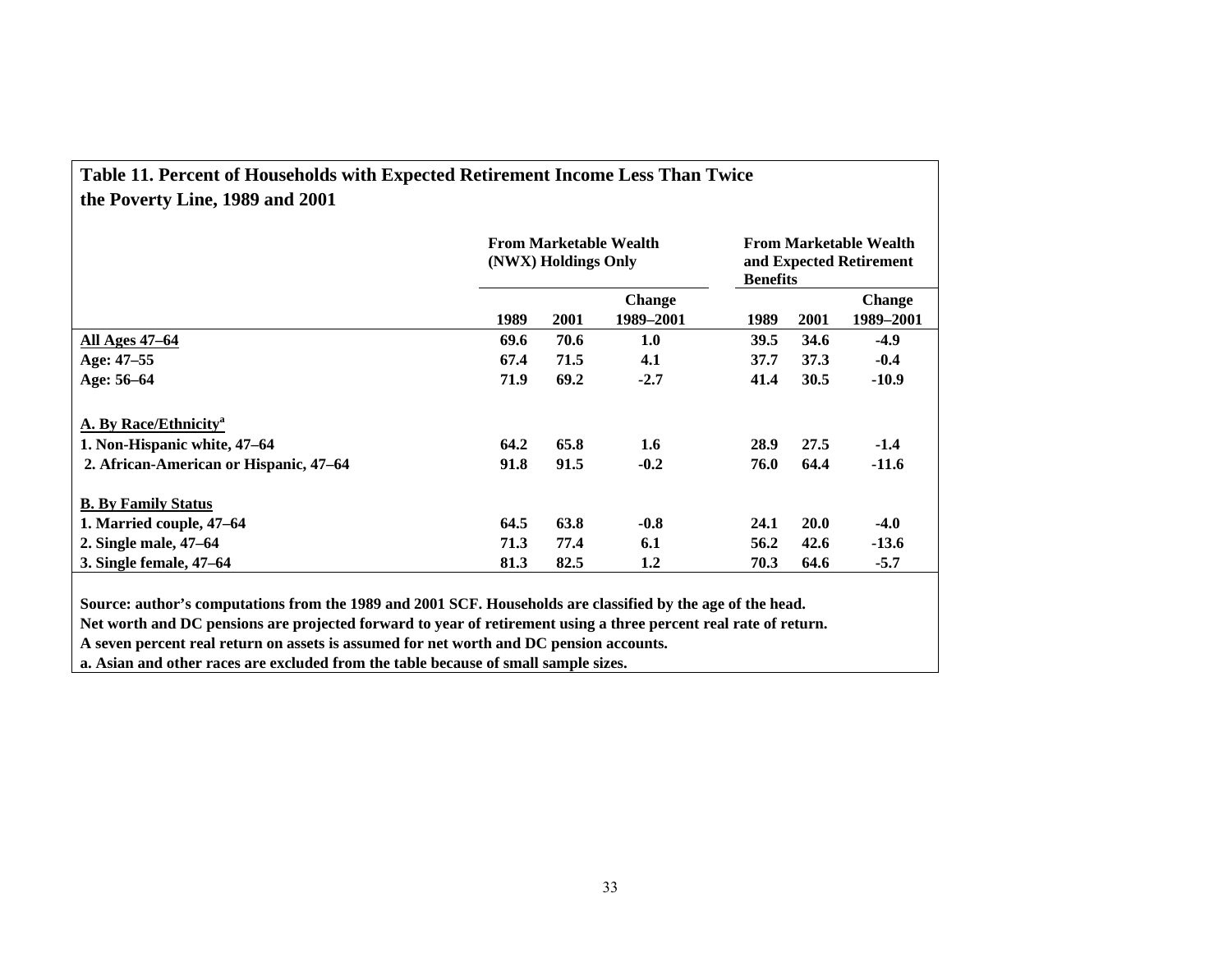| Table 11. Percent of Households with Expected Retirement Income Less Than Twice |  |
|---------------------------------------------------------------------------------|--|
| the Poverty Line, 1989 and 2001                                                 |  |

|                                        |      | (NWX) Holdings Only | <b>From Marketable Wealth</b> | <b>From Marketable Wealth</b><br>and Expected Retirement<br><b>Benefits</b> |             |               |  |  |
|----------------------------------------|------|---------------------|-------------------------------|-----------------------------------------------------------------------------|-------------|---------------|--|--|
|                                        |      |                     | <b>Change</b>                 |                                                                             |             | <b>Change</b> |  |  |
|                                        | 1989 | 2001                | 1989-2001                     | 1989                                                                        | 2001        | 1989–2001     |  |  |
| <b>All Ages 47–64</b>                  | 69.6 | 70.6                | 1.0                           | 39.5                                                                        | 34.6        | $-4.9$        |  |  |
| Age: 47-55                             | 67.4 | 71.5                | 4.1                           | 37.7                                                                        | 37.3        | $-0.4$        |  |  |
| Age: 56-64                             | 71.9 | 69.2                | $-2.7$                        | 41.4                                                                        | 30.5        | $-10.9$       |  |  |
| A. By Race/Ethnicity <sup>a</sup>      |      |                     |                               |                                                                             |             |               |  |  |
| 1. Non-Hispanic white, 47-64           | 64.2 | 65.8                | 1.6                           | 28.9                                                                        | 27.5        | $-1.4$        |  |  |
| 2. African-American or Hispanic, 47-64 | 91.8 | 91.5                | $-0.2$                        | 76.0                                                                        | 64.4        | $-11.6$       |  |  |
| <b>B.</b> By Family Status             |      |                     |                               |                                                                             |             |               |  |  |
| 1. Married couple, 47–64               | 64.5 | 63.8                | $-0.8$                        | 24.1                                                                        | <b>20.0</b> | $-4.0$        |  |  |
| 2. Single male, 47–64                  | 71.3 | 77.4                | 6.1                           | 56.2                                                                        | 42.6        | $-13.6$       |  |  |
| 3. Single female, 47–64                | 81.3 | 82.5                | 1.2                           | 70.3                                                                        | 64.6        | $-5.7$        |  |  |

**Source: author's computations from the 1989 and 2001 SCF. Households are classified by the age of the head.** 

**Net worth and DC pensions are projected forward to year of retirement using a three percent real rate of return.** 

**A seven percent real return on assets is assumed for net worth and DC pension accounts.** 

**a. Asian and other races are excluded from the table because of small sample sizes.**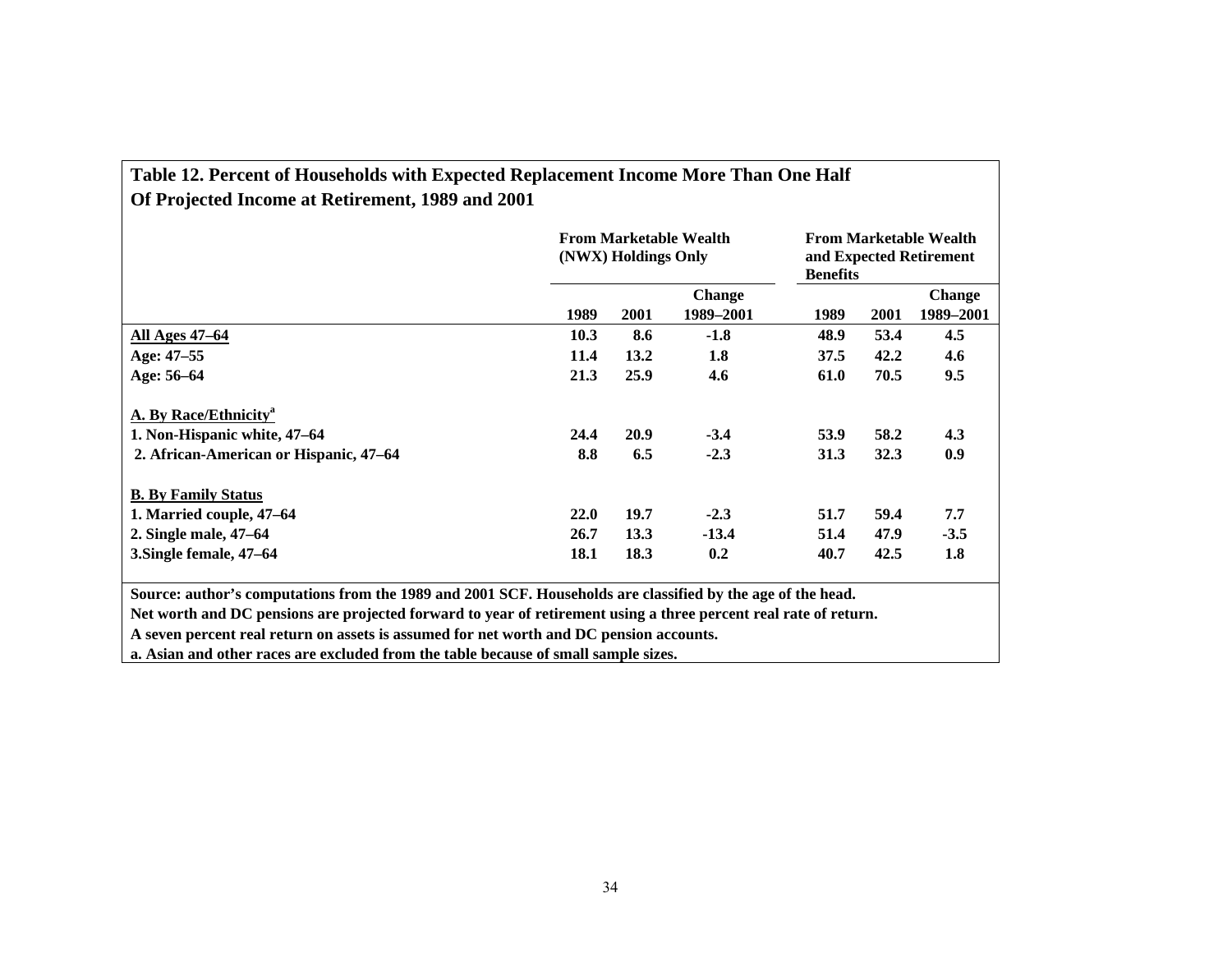| Table 12. Percent of Households with Expected Replacement Income More Than One Half |
|-------------------------------------------------------------------------------------|
| Of Projected Income at Retirement, 1989 and 2001                                    |

|                                                                                                             | <b>From Marketable Wealth</b><br>(NWX) Holdings Only |                    |                  |              | <b>From Marketable Wealth</b><br>and Expected Retirement<br><b>Benefits</b> |               |  |  |
|-------------------------------------------------------------------------------------------------------------|------------------------------------------------------|--------------------|------------------|--------------|-----------------------------------------------------------------------------|---------------|--|--|
|                                                                                                             | <b>Change</b>                                        |                    |                  |              |                                                                             | <b>Change</b> |  |  |
|                                                                                                             | 1989                                                 | 2001               | 1989–2001        | 1989         | 2001                                                                        | 1989–2001     |  |  |
| <b>All Ages 47–64</b>                                                                                       | 10.3                                                 | 8.6                | $-1.8$           | 48.9         | 53.4                                                                        | 4.5           |  |  |
| Age: 47-55                                                                                                  | 11.4                                                 | 13.2               | 1.8              | 37.5         | 42.2                                                                        | 4.6           |  |  |
| Age: 56-64                                                                                                  | 21.3                                                 | 25.9               | 4.6              | 61.0         | 70.5                                                                        | 9.5           |  |  |
| A. By Race/Ethnicity <sup>a</sup><br>1. Non-Hispanic white, 47-64<br>2. African-American or Hispanic, 47–64 | 24.4<br>8.8                                          | <b>20.9</b><br>6.5 | $-3.4$<br>$-2.3$ | 53.9<br>31.3 | 58.2<br>32.3                                                                | 4.3<br>0.9    |  |  |
| <b>B.</b> By Family Status                                                                                  |                                                      |                    |                  |              |                                                                             |               |  |  |
| 1. Married couple, 47–64                                                                                    | <b>22.0</b>                                          | 19.7               | $-2.3$           | 51.7         | 59.4                                                                        | 7.7           |  |  |
| 2. Single male, 47–64                                                                                       | 26.7                                                 | 13.3               | $-13.4$          | 51.4         | 47.9                                                                        | $-3.5$        |  |  |
| 3. Single female, 47-64                                                                                     | 18.1                                                 | 18.3               | 0.2              | 40.7         | 42.5                                                                        | 1.8           |  |  |

**Source: author's computations from the 1989 and 2001 SCF. Households are classified by the age of the head.** 

**Net worth and DC pensions are projected forward to year of retirement using a three percent real rate of return.** 

**A seven percent real return on assets is assumed for net worth and DC pension accounts.** 

**a. Asian and other races are excluded from the table because of small sample sizes.**